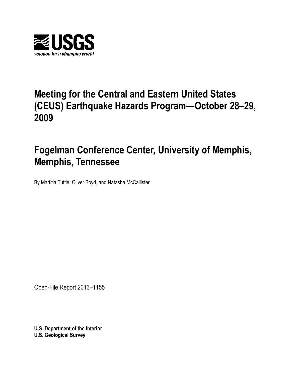

# **Meeting for the Central and Eastern United States (CEUS) Earthquake Hazards Program—October 28–29, 2009**

# **Fogelman Conference Center, University of Memphis, Memphis, Tennessee**

By Martitia Tuttle, Oliver Boyd, and Natasha McCallister

Open-File Report 2013–1155

**U.S. Department of the Interior U.S. Geological Survey**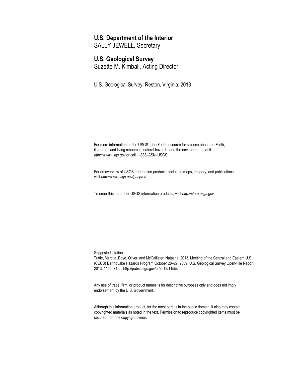### **U.S. Department of the Interior**

SALLY JEWELL, Secretary

## **U.S. Geological Survey**

Suzette M. Kimball, Acting Director

U.S. Geological Survey, Reston, Virginia: 2013

For more information on the USGS—the Federal source for science about the Earth, its natural and living resources, natural hazards, and the environment—visit *[http://www.usgs.gov](http://www.usgs.gov/)* or call 1–888–ASK–USGS

For an overview of USGS information products, including maps, imagery, and publications, visit *<http://www.usgs.gov/pubprod>*

To order this and other USGS information products, visit *[http://store.usgs.gov](http://store.usgs.gov/)*

Suggested citation:

Tuttle, Martitia, Boyd, Oliver, and McCallister, Natasha, 2013, Meeting of the Central and Eastern U.S. (CEUS) Earthquake Hazards Program October 28–29, 2009: U.S. Geological Survey Open-File Report 2013–1155, 74 p., http://pubs.usgs.gov/of/2013/1155/.

Any use of trade, firm, or product names is for descriptive purposes only and does not imply endorsement by the U.S. Government.

Although this information product, for the most part, is in the public domain, it also may contain copyrighted materials as noted in the text. Permission to reproduce copyrighted items must be secured from the copyright owner.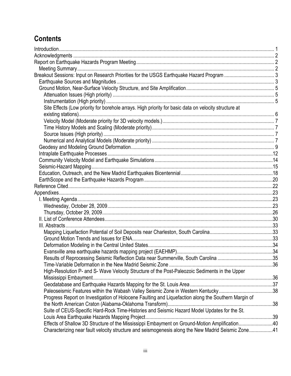## **Contents**

<span id="page-2-0"></span>

| Site Effects (Low priority for borehole arrays. High priority for basic data on velocity structure at |  |
|-------------------------------------------------------------------------------------------------------|--|
|                                                                                                       |  |
|                                                                                                       |  |
|                                                                                                       |  |
|                                                                                                       |  |
|                                                                                                       |  |
|                                                                                                       |  |
|                                                                                                       |  |
|                                                                                                       |  |
|                                                                                                       |  |
|                                                                                                       |  |
|                                                                                                       |  |
|                                                                                                       |  |
|                                                                                                       |  |
|                                                                                                       |  |
|                                                                                                       |  |
|                                                                                                       |  |
|                                                                                                       |  |
|                                                                                                       |  |
|                                                                                                       |  |
|                                                                                                       |  |
|                                                                                                       |  |
|                                                                                                       |  |
| Results of Reprocessing Seismic Reflection Data near Summerville, South Carolina 35                   |  |
|                                                                                                       |  |
| High-Resolution P- and S- Wave Velocity Structure of the Post-Paleozoic Sediments in the Upper        |  |
| Mississippi Embayment                                                                                 |  |
|                                                                                                       |  |
| Paleoseismic Features within the Wabash Valley Seismic Zone in Western Kentucky38                     |  |
| Progress Report on Investigation of Holocene Faulting and Liquefaction along the Southern Margin of   |  |
|                                                                                                       |  |
| Suite of CEUS-Specific Hard-Rock Time-Histories and Seismic Hazard Model Updates for the St.          |  |
| Louis Area Earthquake Hazards Mapping Project                                                         |  |
| Effects of Shallow 3D Structure of the Mississippi Embayment on Ground-Motion Amplification40         |  |
|                                                                                                       |  |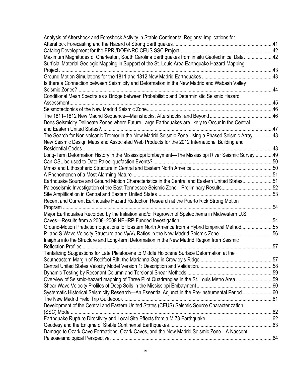| Analysis of Aftershock and Foreshock Activity in Stable Continental Regions: Implications for      |     |
|----------------------------------------------------------------------------------------------------|-----|
|                                                                                                    | .41 |
|                                                                                                    |     |
| Maximum Magnitudes of Charleston, South Carolina Earthquakes from in situ Geotechnical Data42      |     |
| Surficial Material Geologic Mapping in Support of the St. Louis Area Earthquake Hazard Mapping     |     |
|                                                                                                    | 43  |
|                                                                                                    |     |
| Is there a Connection between Seismicity and Deformation in the New Madrid and Wabash Valley       |     |
|                                                                                                    | .44 |
| Conditional Mean Spectra as a Bridge between Probabilistic and Deterministic Seismic Hazard        |     |
| Assessment                                                                                         | .45 |
|                                                                                                    |     |
|                                                                                                    |     |
| Does Seismicity Delineate Zones where Future Large Earthquakes are likely to Occur in the Central  |     |
| and Eastern United States?                                                                         | .47 |
| The Search for Non-volcanic Tremor in the New Madrid Seismic Zone Using a Phased Seismic Array48   |     |
| New Seismic Design Maps and Associated Web Products for the 2012 International Building and        |     |
| 48                                                                                                 |     |
| Long-Term Deformation History in the Mississippi Embayment—The Mississippi River Seismic Survey 49 |     |
|                                                                                                    |     |
|                                                                                                    |     |
|                                                                                                    |     |
| Earthquake Source and Ground Motion Characteristics in the Central and Eastern United States51     |     |
| Paleoseismic Investigation of the East Tennessee Seismic Zone-Preliminary Results52                |     |
|                                                                                                    | 53  |
| Recent and Current Earthquake Hazard Reduction Research at the Puerto Rick Strong Motion           |     |
| Program                                                                                            | .54 |
| Major Earthquakes Recorded by the Initiation and/or Regrowth of Speleothems in Midwestern U.S.     |     |
| Ground-Motion Prediction Equations for Eastern North America from a Hybrid Empirical Method55      |     |
|                                                                                                    | .56 |
| Insights into the Structure and Long-term Deformation in the New Madrid Region from Seismic        |     |
| 57<br><b>Reflection Profiles</b>                                                                   |     |
| Tantalizing Suggestions for Late Pleistocene to Middle Holocene Surface Deformation at the         |     |
|                                                                                                    |     |
|                                                                                                    |     |
|                                                                                                    |     |
| Overview of Seismic-hazard mapping of Three Pilot Quadrangles in the St. Louis Metro Area 59       |     |
|                                                                                                    |     |
| Systematic Historical Seismicity Research-An Essential Adjunct in the Pre-Instrumental Period 60   |     |
|                                                                                                    |     |
| Development of the Central and Eastern United States (CEUS) Seismic Source Characterization        |     |
|                                                                                                    |     |
|                                                                                                    |     |
|                                                                                                    |     |
| Damage to Ozark Cave Formations, Ozark Caves, and the New Madrid Seismic Zone-A Nascent            |     |
|                                                                                                    |     |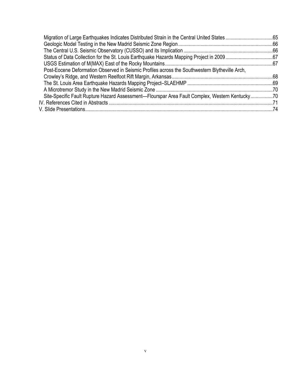| Post-Eocene Deformation Observed in Seismic Profiles across the Southwestern Blytheville Arch, |  |
|------------------------------------------------------------------------------------------------|--|
|                                                                                                |  |
|                                                                                                |  |
|                                                                                                |  |
| Site-Specific Fault Rupture Hazard Assessment—Flourspar Area Fault Complex, Western Kentucky70 |  |
|                                                                                                |  |
|                                                                                                |  |
|                                                                                                |  |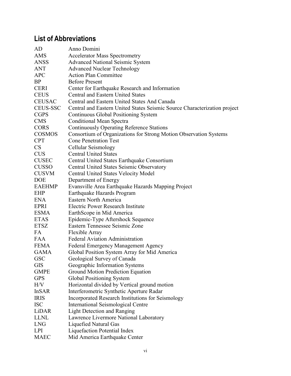## **List of Abbreviations**

| AD              | Anno Domini                                                               |
|-----------------|---------------------------------------------------------------------------|
| <b>AMS</b>      | <b>Accelerator Mass Spectrometry</b>                                      |
| <b>ANSS</b>     | <b>Advanced National Seismic System</b>                                   |
| <b>ANT</b>      | <b>Advanced Nuclear Technology</b>                                        |
| <b>APC</b>      | <b>Action Plan Committee</b>                                              |
| <b>BP</b>       | <b>Before Present</b>                                                     |
| <b>CERI</b>     | Center for Earthquake Research and Information                            |
| <b>CEUS</b>     | <b>Central and Eastern United States</b>                                  |
| <b>CEUSAC</b>   | Central and Eastern United States And Canada                              |
| <b>CEUS-SSC</b> | Central and Eastern United States Seismic Source Characterization project |
| <b>CGPS</b>     | <b>Continuous Global Positioning System</b>                               |
| <b>CMS</b>      | <b>Conditional Mean Spectra</b>                                           |
| <b>CORS</b>     | <b>Continuously Operating Reference Stations</b>                          |
| <b>COSMOS</b>   | Consortium of Organizations for Strong Motion Observation Systems         |
| <b>CPT</b>      | <b>Cone Penetration Test</b>                                              |
| CS              | Cellular Seismology                                                       |
| <b>CUS</b>      | <b>Central United States</b>                                              |
| <b>CUSEC</b>    | Central United States Earthquake Consortium                               |
| <b>CUSSO</b>    | Central United States Seismic Observatory                                 |
| <b>CUSVM</b>    | Central United States Velocity Model                                      |
| <b>DOE</b>      | Department of Energy                                                      |
| <b>EAEHMP</b>   | Evansville Area Earthquake Hazards Mapping Project                        |
| EHP             | Earthquake Hazards Program                                                |
| <b>ENA</b>      | Eastern North America                                                     |
| <b>EPRI</b>     | Electric Power Research Institute                                         |
| ESMA            | EarthScope in Mid America                                                 |
| <b>ETAS</b>     | Epidemic-Type Aftershock Sequence                                         |
| <b>ETSZ</b>     | Eastern Tennessee Seismic Zone                                            |
| FA              | Flexible Array                                                            |
| <b>FAA</b>      | <b>Federal Aviation Administration</b>                                    |
| <b>FEMA</b>     | <b>Federal Emergency Management Agency</b>                                |
| <b>GAMA</b>     | Global Position System Array for Mid America                              |
| <b>GSC</b>      | Geological Survey of Canada                                               |
| <b>GIS</b>      | Geographic Information Systems                                            |
| <b>GMPE</b>     | Ground Motion Prediction Equation                                         |
| <b>GPS</b>      | Global Positioning System                                                 |
| H/V             | Horizontal divided by Vertical ground motion                              |
| <b>InSAR</b>    | Interferometric Synthetic Aperture Radar                                  |
| <b>IRIS</b>     | Incorporated Research Institutions for Seismology                         |
| <b>ISC</b>      | International Seismological Centre                                        |
| LiDAR           | <b>Light Detection and Ranging</b>                                        |
| <b>LLNL</b>     | Lawrence Livermore National Laboratory                                    |
| <b>LNG</b>      | Liquefied Natural Gas                                                     |
| <b>LPI</b>      | Liquefaction Potential Index                                              |
| <b>MAEC</b>     | Mid America Earthquake Center                                             |
|                 |                                                                           |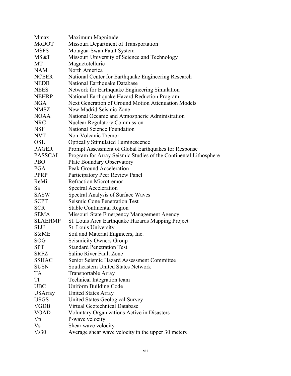| Mmax             | Maximum Magnitude                                                |
|------------------|------------------------------------------------------------------|
| MoDOT            | Missouri Department of Transportation                            |
| <b>MSFS</b>      | Motagua-Swan Fault System                                        |
| MS&T             | Missouri University of Science and Technology                    |
| MT               | Magnetotelluric                                                  |
| <b>NAM</b>       | North America                                                    |
| <b>NCEER</b>     | National Center for Earthquake Engineering Research              |
| <b>NEDB</b>      | National Earthquake Database                                     |
| <b>NEES</b>      | Network for Earthquake Engineering Simulation                    |
| <b>NEHRP</b>     | National Earthquake Hazard Reduction Program                     |
| <b>NGA</b>       | Next Generation of Ground Motion Attenuation Models              |
| <b>NMSZ</b>      | New Madrid Seismic Zone                                          |
| <b>NOAA</b>      | National Oceanic and Atmospheric Administration                  |
| <b>NRC</b>       | <b>Nuclear Regulatory Commission</b>                             |
| <b>NSF</b>       | National Science Foundation                                      |
| <b>NVT</b>       | Non-Volcanic Tremor                                              |
| OSL              | <b>Optically Stimulated Luminescence</b>                         |
| <b>PAGER</b>     | Prompt Assessment of Global Earthquakes for Response             |
| <b>PASSCAL</b>   | Program for Array Seismic Studies of the Continental Lithosphere |
| <b>PBO</b>       | <b>Plate Boundary Observatory</b>                                |
| <b>PGA</b>       | Peak Ground Acceleration                                         |
| PPRP             | Participatory Peer Review Panel                                  |
| ReMi             | <b>Refraction Microtremor</b>                                    |
| Sa               | Spectral Acceleration                                            |
| <b>SASW</b>      | Spectral Analysis of Surface Waves                               |
| <b>SCPT</b>      | Seismic Cone Penetration Test                                    |
| <b>SCR</b>       | <b>Stable Continental Region</b>                                 |
| <b>SEMA</b>      | Missouri State Emergency Management Agency                       |
| <b>SLAEHMP</b>   | St. Louis Area Earthquake Hazards Mapping Project                |
| <b>SLU</b>       | St. Louis University                                             |
| S&ME             | Soil and Material Engineers, Inc.                                |
| <b>SOG</b>       | <b>Seismicity Owners Group</b>                                   |
| <b>SPT</b>       | <b>Standard Penetration Test</b>                                 |
| <b>SRFZ</b>      | Saline River Fault Zone                                          |
| <b>SSHAC</b>     | Senior Seismic Hazard Assessment Committee                       |
| <b>SUSN</b>      | Southeastern United States Network                               |
| TA               | Transportable Array                                              |
| TI               | Technical Integration team                                       |
| <b>UBC</b>       | <b>Uniform Building Code</b>                                     |
| <b>USArray</b>   | <b>United States Array</b>                                       |
| <b>USGS</b>      | United States Geological Survey                                  |
| <b>VGDB</b>      | <b>Virtual Geotechnical Database</b>                             |
| <b>VOAD</b>      | Voluntary Organizations Active in Disasters                      |
| Vp               | P-wave velocity                                                  |
| Vs               | Shear wave velocity                                              |
| V <sub>s30</sub> | Average shear wave velocity in the upper 30 meters               |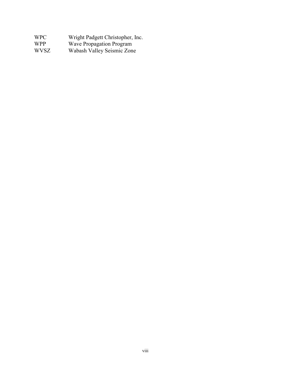| <b>WPC</b>   | Wright Padgett Christopher, Inc. |
|--------------|----------------------------------|
| $\mathbf{u}$ |                                  |

- WPP Wave Propagation Program
- WVSZ Wabash Valley Seismic Zone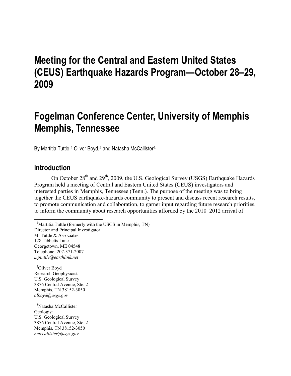## **Meeting for the Central and Eastern United States (CEUS) Earthquake Hazards Program—October 28–29, 2009**

# **Fogelman Conference Center, University of Memphis Memphis, Tennessee**

By Martitia Tuttle,<sup>[1](#page-2-0)</sup> Oliver Boyd,<sup>[2](#page-8-0)</sup> and Natasha McCallister<sup>[3](#page-8-1)</sup>

## **Introduction**

 $\overline{a}$ 

On October  $28<sup>th</sup>$  and  $29<sup>th</sup>$ , 2009, the U.S. Geological Survey (USGS) Earthquake Hazards Program held a meeting of Central and Eastern United States (CEUS) investigators and interested parties in Memphis, Tennessee (Tenn.). The purpose of the meeting was to bring together the CEUS earthquake-hazards community to present and discuss recent research results, to promote communication and collaboration, to garner input regarding future research priorities, to inform the community about research opportunities afforded by the 2010–2012 arrival of

<sup>1</sup>Martitia Tuttle (formerly with the USGS in Memphis, TN) Director and Principal Investigator M. Tuttle & Associates 128 Tibbetts Lane Georgetown, ME 04548 Telephone: 207-371-2007 *mptuttle@earthlink.net*

<span id="page-8-0"></span><sup>2</sup>Oliver Boyd Research Geophysicist U.S. Geological Survey 3876 Central Avenue, Ste. 2 Memphis, TN 38152-3050 *olboyd@usgs.gov*

<span id="page-8-1"></span><sup>3</sup>Natasha McCallister Geologist U.S. Geological Survey 3876 Central Avenue, Ste. 2 Memphis, TN 38152-3050 *nmccallister@usgs.gov*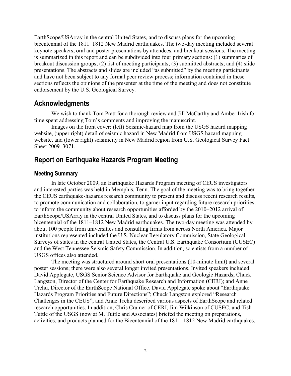EarthScope/USArray in the central United States, and to discuss plans for the upcoming bicentennial of the 1811–1812 New Madrid earthquakes. The two-day meeting included several keynote speakers, oral and poster presentations by attendees, and breakout sessions. The meeting is summarized in this report and can be subdivided into four primary sections: (1) summaries of breakout discussion groups; (2) list of meeting participants; (3) submitted abstracts; and (4) slide presentations. The abstracts and slides are included "as submitted" by the meeting participants and have not been subject to any formal peer review process; information contained in these sections reflects the opinions of the presenter at the time of the meeting and does not constitute endorsement by the U.S. Geological Survey.

## **Acknowledgments**

We wish to thank Tom Pratt for a thorough review and Jill McCarthy and Amber Irish for time spent addressing Tom's comments and improving the manuscript.

Images on the front cover: (left) Seismic-hazard map from the USGS hazard mapping website, (upper right) detail of seismic hazard in New Madrid from USGS hazard mapping website, and (lower right) seismicity in New Madrid region from U.S. Geological Survey Fact Sheet 2009–3071.

## **Report on Earthquake Hazards Program Meeting**

#### **Meeting Summary**

In late October 2009, an Earthquake Hazards Program meeting of CEUS investigators and interested parties was held in Memphis, Tenn. The goal of the meeting was to bring together the CEUS earthquake-hazards research community to present and discuss recent research results, to promote communication and collaboration, to garner input regarding future research priorities, to inform the community about research opportunities afforded by the 2010–2012 arrival of EarthScope/USArray in the central United States, and to discuss plans for the upcoming bicentennial of the 1811–1812 New Madrid earthquakes. The two-day meeting was attended by about 100 people from universities and consulting firms from across North America. Major institutions represented included the U.S. Nuclear Regulatory Commission, State Geological Surveys of states in the central United States, the Central U.S. Earthquake Consortium (CUSEC) and the West Tennessee Seismic Safety Commission. In addition, scientists from a number of USGS offices also attended.

The meeting was structured around short oral presentations (10-minute limit) and several poster sessions; there were also several longer invited presentations. Invited speakers included David Applegate, USGS Senior Science Advisor for Earthquake and Geologic Hazards; Chuck Langston, Director of the Center for Earthquake Research and Information (CERI); and Anne Trehu, Director of the EarthScope National Office. David Applegate spoke about "Earthquake Hazards Program Priorities and Future Directions"; Chuck Langston explored "Research Challenges in the CEUS"; and Anne Trehu described various aspects of EarthScope and related research opportunities. In addition, Chris Cramer of CERI, Jim Wilkinson of CUSEC, and Tish Tuttle of the USGS (now at M. Tuttle and Associates) briefed the meeting on preparations, activities, and products planned for the Bicentennial of the 1811–1812 New Madrid earthquakes.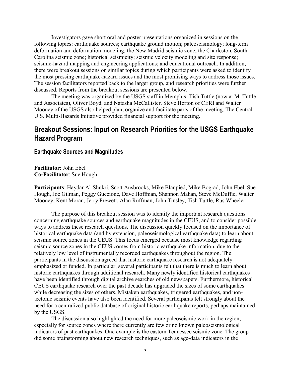Investigators gave short oral and poster presentations organized in sessions on the following topics: earthquake sources; earthquake ground motion; paleoseismology; long-term deformation and deformation modeling; the New Madrid seismic zone; the Charleston, South Carolina seismic zone; historical seismicity; seismic velocity modeling and site response; seismic-hazard mapping and engineering applications; and educational outreach. In addition, there were breakout sessions on similar topics during which participants were asked to identify the most pressing earthquake-hazard issues and the most promising ways to address those issues. The session facilitators reported back to the larger group, and research priorities were further discussed. Reports from the breakout sessions are presented below.

The meeting was organized by the USGS staff in Memphis: Tish Tuttle (now at M. Tuttle and Associates), Oliver Boyd, and Natasha McCallister. Steve Horton of CERI and Walter Mooney of the USGS also helped plan, organize and facilitate parts of the meeting. The Central U.S. Multi-Hazards Initiative provided financial support for the meeting.

## **Breakout Sessions: Input on Research Priorities for the USGS Earthquake Hazard Program**

#### **Earthquake Sources and Magnitudes**

**Facilitator**: John Ebel **Co-Facilitator**: Sue Hough

**Participants**: Haydar Al-Shukri, Scott Ausbrooks, Mike Blanpied, Mike Bograd, John Ebel, Sue Hough, Joe Gilman, Peggy Guccione, Dave Hoffman, Shannon Mahan, Steve McDuffie, Walter Mooney, Kent Moran, Jerry Prewett, Alan Ruffman, John Tinsley, Tish Tuttle, Rus Wheeler

The purpose of this breakout session was to identify the important research questions concerning earthquake sources and earthquake magnitudes in the CEUS, and to consider possible ways to address these research questions. The discussion quickly focused on the importance of historical earthquake data (and by extension, paleoseismological earthquake data) to learn about seismic source zones in the CEUS. This focus emerged because most knowledge regarding seismic source zones in the CEUS comes from historic earthquake information, due to the relatively low level of instrumentally recorded earthquakes throughout the region. The participants in the discussion agreed that historic earthquake research is not adequately emphasized or funded. In particular, several participants felt that there is much to learn about historic earthquakes through additional research. Many newly identified historical earthquakes have been identified through digital archive searches of old newspapers. Furthermore, historical CEUS earthquake research over the past decade has upgraded the sizes of some earthquakes while decreasing the sizes of others. Mistaken earthquakes, triggered earthquakes, and nontectonic seismic events have also been identified. Several participants felt strongly about the need for a centralized public database of original historic earthquake reports, perhaps maintained by the USGS.

The discussion also highlighted the need for more paleoseismic work in the region, especially for source zones where there currently are few or no known paleoseismological indicators of past earthquakes. One example is the eastern Tennessee seismic zone. The group did some brainstorming about new research techniques, such as age-data indicators in the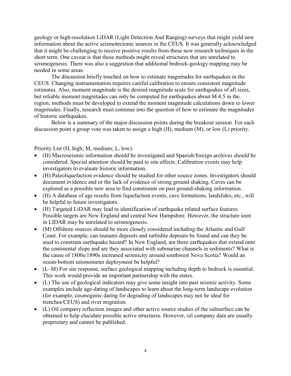geology or high-resolution LiDAR (Light Detection And Ranging) surveys that might yield new information about the active seismotectonic sources in the CEUS. It was generally acknowledged that it might be challenging to receive positive results from these new research techniques in the short term. One caveat is that these methods might reveal structures that are unrelated to seismogenesis. There was also a suggestion that additional bedrock-geology mapping may be needed in some areas.

The discussion briefly touched on how to estimate magnitudes for earthquakes in the CEUS. Changing instrumentation requires careful calibration to ensure consistent magnitude estimates. Also, moment magnitude is the desired magnitude scale for earthquakes of all sizes, but reliable moment magnitudes can only be computed for earthquakes about M 4.5 in the region; methods must be developed to extend the moment magnitude calculations down to lower magnitudes. Finally, research must continue into the question of how to estimate the magnitudes of historic earthquakes.

Below is a summary of the major discussion points during the breakout session. For each discussion point a group vote was taken to assign a high (H), medium (M), or low (L) priority.

Priority List (H, high; M, medium; L, low):

- (H) Macroseismic information should be investigated and Spanish/foreign archives should be considered. Special attention should be paid to site effects. Calibration events may help investigators to evaluate historic information.
- (H) Paleoliquefaction evidence should be studied for other source zones. Investigators should document evidence and or the lack of evidence of strong ground shaking. Caves can be explored as a possible new area to find constraints on past ground-shaking information.
- (H) A database of age results from liquefaction events, cave formations, landslides, etc., will be helpful to future investigators.
- (H) Targeted LiDAR may lead to identification of earthquake related surface features. Possible targets are New England and central New Hampshire. However, the structure seen in LIDAR may be unrelated to seismogenesis.
- (M) Offshore sources should be more closely considered including the Atlantic and Gulf Coast. For example, can tsunami deposits and turbidite deposits be found and can they be used to constrain earthquake hazard? In New England, are there earthquakes that extend onto the continental slope and are they associated with submarine channels in sediments? What is the cause of 1800s/1890s increased seismicity around southwest Nova Scotia? Would an ocean-bottom seismometer deployment be helpful?
- (L–M) For site response, surface geological mapping including depth to bedrock is essential. This work would provide an important partnership with the states.
- (L) The use of geological indicators may give some insight into past seismic activity. Some examples include age-dating of landscapes to learn about the long-term landscape evolution (for example, cosmogenic dating for degrading of landscapes may not be ideal for trenches/CEUS) and river migration.
- (L) Oil company reflection images and other active source studies of the subsurface can be obtained to help elucidate possible active structures. However, oil company data are usually proprietary and cannot be published.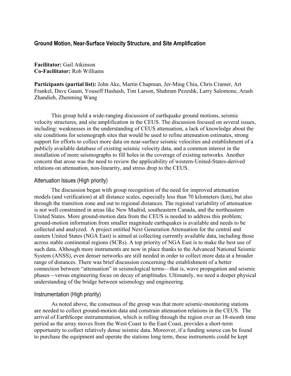#### **Ground Motion, Near-Surface Velocity Structure, and Site Amplification**

**Facilitator:** Gail Atkinson **Co-Facilitator:** Rob Williams

**Participants (partial list):** John Ake, Martin Chapman, Jer-Ming Chiu, Chris Cramer, Art Frankel, Dave Gaunt, Youseff Hashash, Tim Larson, Shahram Pezeshk, Larry Salomone, Arash Zhandieh, Zhenming Wang

This group held a wide-ranging discussion of earthquake ground motions, seismic velocity structures, and site amplification in the CEUS. The discussion focused on several issues, including: weaknesses in the understanding of CEUS attenuation, a lack of knowledge about the site conditions for seismograph sites that would be used to refine attenuation estimates, strong support for efforts to collect more data on near-surface seismic velocities and establishment of a publicly available database of existing seismic velocity data, and a common interest in the installation of more seismographs to fill holes in the coverage of existing networks. Another concern that arose was the need to review the applicability of western-United-States-derived relations on attenuation, non-linearity, and stress drop to the CEUS.

#### Attenuation Issues (High priority)

The discussion began with group recognition of the need for improved attenuation models (and verification) at all distance scales, especially less than 70 kilometers (km), but also through the transition zone and out to regional distances. The regional variability of attenuation is not well constrained in areas like New Madrid, southeastern Canada, and the northeastern United States. More ground-motion data from the CEUS is needed to address this problem; ground-motion information from smaller magnitude earthquakes is available and needs to be collected and analyzed. A project entitled Next Generation Attenuation for the central and eastern United States (NGA East) is aimed at collecting currently available data, including those across stable continental regions (SCRs). A top priority of NGA East is to make the best use of such data. Although more instruments are now in place thanks to the Advanced National Seismic System (ANSS), even denser networks are still needed in order to collect more data at a broader range of distances. There was brief discussion concerning the establishment of a better connection between "attenuation" in seismological terms—that is, wave propagation and seismic phases—versus engineering focus on decay of amplitudes. Ultimately, we need a deeper physical understanding of the bridge between seismology and engineering.

#### Instrumentation (High priority)

As noted above, the consensus of the group was that more seismic-monitoring stations are needed to collect ground-motion data and constrain attenuation relations in the CEUS. The arrival of EarthScope instrumentation, which is rolling through the region over an 18-month time period as the array moves from the West Coast to the East Coast, provides a short-term opportunity to collect relatively dense seismic data. Moreover, if a funding source can be found to purchase the equipment and operate the stations long term, these instruments could be kept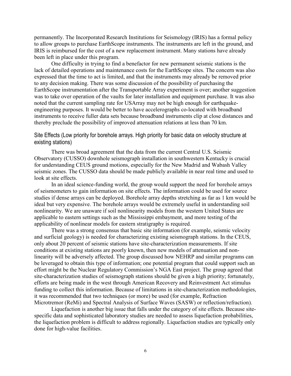permanently. The Incorporated Research Institutions for Seismology (IRIS) has a formal policy to allow groups to purchase EarthScope instruments. The instruments are left in the ground, and IRIS is reimbursed for the cost of a new replacement instrument. Many stations have already been left in place under this program.

One difficulty in trying to find a benefactor for new permanent seismic stations is the lack of detailed operations and maintenance costs for the EarthScope sites. The concern was also expressed that the time to act is limited, and that the instruments may already be removed prior to any decision making. There was some discussion of the possibility of purchasing the EarthScope instrumentation after the Transportable Array experiment is over; another suggestion was to take over operation of the vaults for later installation and equipment purchase. It was also noted that the current sampling rate for USArray may not be high enough for earthquakeengineering purposes. It would be better to have accelerographs co-located with broadband instruments to receive fuller data sets because broadband instruments clip at close distances and thereby preclude the possibility of improved attenuation relations at less than 70 km.

#### Site Effects (Low priority for borehole arrays. High priority for basic data on velocity structure at existing stations)

There was broad agreement that the data from the current Central U.S. Seismic Observatory (CUSSO) downhole seismograph installation in southwestern Kentucky is crucial for understanding CEUS ground motions, especially for the New Madrid and Wabash Valley seismic zones. The CUSSO data should be made publicly available in near real time and used to look at site effects.

In an ideal science-funding world, the group would support the need for borehole arrays of seismometers to gain information on site effects. The information could be used for source studies if dense arrays can be deployed. Borehole array depths stretching as far as 1 km would be ideal but very expensive. The borehole arrays would be extremely useful in understanding soil nonlinearity. We are unaware if soil nonlinearity models from the western United States are applicable to eastern settings such as the Mississippi embayment, and more testing of the applicability of nonlinear models for eastern stratigraphy is required.

There was a strong consensus that basic site information (for example, seismic velocity and surficial geology) is needed for characterizing existing seismograph stations. In the CEUS, only about 20 percent of seismic stations have site-characterization measurements. If site conditions at existing stations are poorly known, then new models of attenuation and nonlinearity will be adversely affected. The group discussed how NEHRP and similar programs can be leveraged to obtain this type of information; one potential program that could support such an effort might be the Nuclear Regulatory Commission's NGA East project. The group agreed that site-characterization studies of seismograph stations should be given a high priority; fortunately, efforts are being made in the west through American Recovery and Reinvestment Act stimulus funding to collect this information. Because of limitations in site-characterization methodologies, it was recommended that two techniques (or more) be used (for example, Refraction Microtremor (ReMi) and Spectral Analysis of Surface Waves (SASW) or reflection/refraction).

Liquefaction is another big issue that falls under the category of site effects. Because sitespecific data and sophisticated laboratory studies are needed to assess liquefaction probabilities, the liquefaction problem is difficult to address regionally. Liquefaction studies are typically only done for high-value facilities.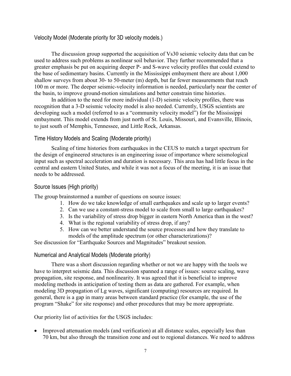#### Velocity Model (Moderate priority for 3D velocity models.)

The discussion group supported the acquisition of Vs30 seismic velocity data that can be used to address such problems as nonlinear soil behavior. They further recommended that a greater emphasis be put on acquiring deeper P- and S-wave velocity profiles that could extend to the base of sedimentary basins. Currently in the Mississippi embayment there are about 1,000 shallow surveys from about 30- to 50-meter (m) depth, but far fewer measurements that reach 100 m or more. The deeper seismic-velocity information is needed, particularly near the center of the basin, to improve ground-motion simulations and better constrain time histories.

In addition to the need for more individual (1-D) seismic velocity profiles, there was recognition that a 3-D seismic velocity model is also needed. Currently, USGS scientists are developing such a model (referred to as a "community velocity model") for the Mississippi embayment. This model extends from just north of St. Louis, Missouri, and Evansville, Illinois, to just south of Memphis, Tennessee, and Little Rock, Arkansas.

#### Time History Models and Scaling (Moderate priority)

Scaling of time histories from earthquakes in the CEUS to match a target spectrum for the design of engineered structures is an engineering issue of importance where seismological input such as spectral acceleration and duration is necessary. This area has had little focus in the central and eastern United States, and while it was not a focus of the meeting, it is an issue that needs to be addressed.

#### Source Issues (High priority)

The group brainstormed a number of questions on source issues:

- 1. How do we take knowledge of small earthquakes and scale up to larger events?
- 2. Can we use a constant-stress model to scale from small to large earthquakes?
- 3. Is the variability of stress drop bigger in eastern North America than in the west?
- 4. What is the regional variability of stress drop, if any?
- 5. How can we better understand the source processes and how they translate to models of the amplitude spectrum (or other characterizations)?

See discussion for "Earthquake Sources and Magnitudes" breakout session.

#### Numerical and Analytical Models (Moderate priority)

There was a short discussion regarding whether or not we are happy with the tools we have to interpret seismic data. This discussion spanned a range of issues: source scaling, wave propagation, site response, and nonlinearity. It was agreed that it is beneficial to improve modeling methods in anticipation of testing them as data are gathered. For example, when modeling 3D propagation of Lg waves, significant (computing) resources are required. In general, there is a gap in many areas between standard practice (for example, the use of the program "Shake" for site response) and other procedures that may be more appropriate.

Our priority list of activities for the USGS includes:

• Improved attenuation models (and verification) at all distance scales, especially less than 70 km, but also through the transition zone and out to regional distances. We need to address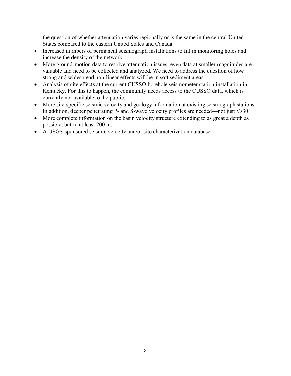the question of whether attenuation varies regionally or is the same in the central United States compared to the eastern United States and Canada.

- Increased numbers of permanent seismograph installations to fill in monitoring holes and increase the density of the network.
- More ground-motion data to resolve attenuation issues; even data at smaller magnitudes are valuable and need to be collected and analyzed. We need to address the question of how strong and widespread non-linear effects will be in soft sediment areas.
- Analysis of site effects at the current CUSSO borehole seismometer station installation in Kentucky. For this to happen, the community needs access to the CUSSO data, which is currently not available to the public.
- More site-specific seismic velocity and geology information at existing seismograph stations. In addition, deeper penetrating P- and S-wave velocity profiles are needed—not just Vs30.
- More complete information on the basin velocity structure extending to as great a depth as possible, but to at least 200 m.
- A USGS-sponsored seismic velocity and/or site characterization database.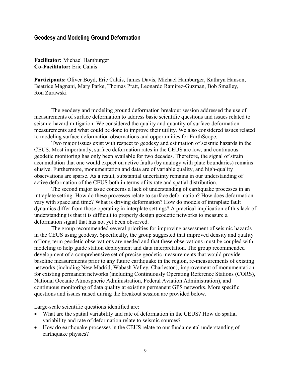#### **Geodesy and Modeling Ground Deformation**

**Facilitator:** Michael Hamburger **Co**-**Facilitator:** Eric Calais

**Participants:** Oliver Boyd, Eric Calais, James Davis, Michael Hamburger, Kathryn Hanson, Beatrice Magnani, Mary Parke, Thomas Pratt, Leonardo Ramirez-Guzman, Bob Smalley, Ron Zurawski

The geodesy and modeling ground deformation breakout session addressed the use of measurements of surface deformation to address basic scientific questions and issues related to seismic-hazard mitigation. We considered the quality and quantity of surface-deformation measurements and what could be done to improve their utility. We also considered issues related to modeling surface deformation observations and opportunities for EarthScope.

Two major issues exist with respect to geodesy and estimation of seismic hazards in the CEUS. Most importantly, surface deformation rates in the CEUS are low, and continuous geodetic monitoring has only been available for two decades. Therefore, the signal of strain accumulation that one would expect on active faults (by analogy with plate boundaries) remains elusive. Furthermore, monumentation and data are of variable quality, and high-quality observations are sparse. As a result, substantial uncertainty remains in our understanding of active deformation of the CEUS both in terms of its rate and spatial distribution.

The second major issue concerns a lack of understanding of earthquake processes in an intraplate setting: How do these processes relate to surface deformation? How does deformation vary with space and time? What is driving deformation? How do models of intraplate fault dynamics differ from those operating in interplate settings? A practical implication of this lack of understanding is that it is difficult to properly design geodetic networks to measure a deformation signal that has not yet been observed.

The group recommended several priorities for improving assessment of seismic hazards in the CEUS using geodesy. Specifically, the group suggested that improved density and quality of long-term geodetic observations are needed and that these observations must be coupled with modeling to help guide station deployment and data interpretation. The group recommended development of a comprehensive set of precise geodetic measurements that would provide baseline measurements prior to any future earthquake in the region, re-measurements of existing networks (including New Madrid, Wabash Valley, Charleston), improvement of monumentation for existing permanent networks (including Continuously Operating Reference Stations (CORS), National Oceanic Atmospheric Administration, Federal Aviation Administration), and continuous monitoring of data quality at existing permanent GPS networks. More specific questions and issues raised during the breakout session are provided below.

Large-scale scientific questions identified are:

- What are the spatial variability and rate of deformation in the CEUS? How do spatial variability and rate of deformation relate to seismic sources?
- How do earthquake processes in the CEUS relate to our fundamental understanding of earthquake physics?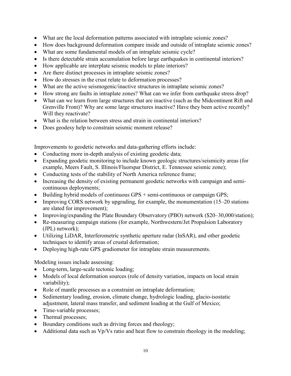- What are the local deformation patterns associated with intraplate seismic zones?
- How does background deformation compare inside and outside of intraplate seismic zones?
- What are some fundamental models of an intraplate seismic cycle?
- Is there detectable strain accumulation before large earthquakes in continental interiors?
- How applicable are interplate seismic models to plate interiors?
- Are there distinct processes in intraplate seismic zones?
- How do stresses in the crust relate to deformation processes?
- What are the active seismogenic/inactive structures in intraplate seismic zones?
- How strong are faults in intraplate zones? What can we infer from earthquake stress drop?
- What can we learn from large structures that are inactive (such as the Midcontinent Rift and Grenville Front)? Why are some large structures inactive? Have they been active recently? Will they reactivate?
- What is the relation between stress and strain in continental interiors?
- Does geodesy help to constrain seismic moment release?

Improvements to geodetic networks and data-gathering efforts include:

- Conducting more in-depth analysis of existing geodetic data;
- Expanding geodetic monitoring to include known geologic structures/seismicity areas (for example, Meers Fault, S. Illinois/Fluorspar District, E. Tennessee seismic zone);
- Conducting tests of the stability of North America reference frame;
- Increasing the density of existing permanent geodetic networks with campaign and semicontinuous deployments;
- Building hybrid models of continuous GPS + semi-continuous or campaign GPS;
- Improving CORS network by upgrading, for example, the monumentation (15–20 stations are slated for improvement);
- Improving/expanding the Plate Boundary Observatory (PBO) network (\$20–30,000/station);
- Re-measuring campaign stations (for example, Northwestern/Jet Propulsion Laboratory (JPL) network);
- Utilizing LiDAR, Interferometric synthetic aperture radar (InSAR), and other geodetic techniques to identify areas of crustal deformation;
- Deploying high-rate GPS gradiometer for intraplate strain measurements.

Modeling issues include assessing:

- Long-term, large-scale tectonic loading;
- Models of local deformation sources (role of density variation, impacts on local strain variability);
- Role of mantle processes as a constraint on intraplate deformation;
- Sedimentary loading, erosion, climate change, hydrologic loading, glacio-isostatic adjustment, lateral mass transfer, and sediment loading at the Gulf of Mexico;
- Time-variable processes;
- Thermal processes;
- Boundary conditions such as driving forces and rheology;
- Additional data such as Vp/Vs ratio and heat flow to constrain rheology in the modeling;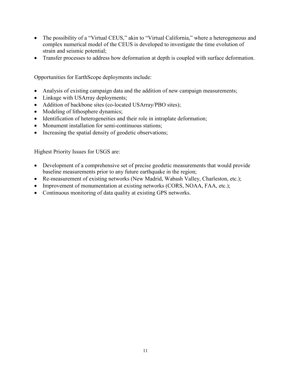- The possibility of a "Virtual CEUS," akin to "Virtual California," where a heterogeneous and complex numerical model of the CEUS is developed to investigate the time evolution of strain and seismic potential;
- Transfer processes to address how deformation at depth is coupled with surface deformation.

Opportunities for EarthScope deployments include:

- Analysis of existing campaign data and the addition of new campaign measurements;
- Linkage with USArray deployments;
- Addition of backbone sites (co-located USArray/PBO sites);
- Modeling of lithosphere dynamics;
- Identification of heterogeneities and their role in intraplate deformation;
- Monument installation for semi-continuous stations;
- Increasing the spatial density of geodetic observations;

Highest Priority Issues for USGS are:

- Development of a comprehensive set of precise geodetic measurements that would provide baseline measurements prior to any future earthquake in the region;
- Re-measurement of existing networks (New Madrid, Wabash Valley, Charleston, etc.);
- Improvement of monumentation at existing networks (CORS, NOAA, FAA, etc.);
- Continuous monitoring of data quality at existing GPS networks.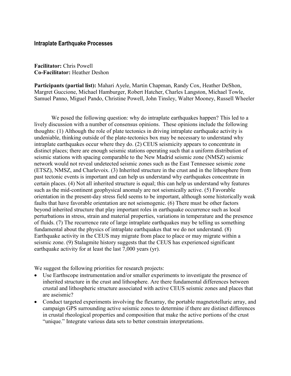#### **Intraplate Earthquake Processes**

**Facilitator:** Chris Powell **Co-Facilitator:** Heather Deshon

**Participants (partial list):** Mahari Ayele, Martin Chapman, Randy Cox, Heather DeShon, Margret Guccione, Michael Hamburger, Robert Hatcher, Charles Langston, Michael Towle, Samuel Panno, Miguel Pando, Christine Powell, John Tinsley, Walter Mooney, Russell Wheeler

We posed the following question: why do intraplate earthquakes happen? This led to a lively discussion with a number of consensus opinions. These opinions include the following thoughts: (1) Although the role of plate tectonics in driving intraplate earthquake activity is undeniable, thinking outside of the plate-tectonics box may be necessary to understand why intraplate earthquakes occur where they do. (2) CEUS seismicity appears to concentrate in distinct places; there are enough seismic stations operating such that a uniform distribution of seismic stations with spacing comparable to the New Madrid seismic zone (NMSZ) seismic network would not reveal undetected seismic zones such as the East Tennessee seismic zone (ETSZ), NMSZ, and Charlevoix. (3) Inherited structure in the crust and in the lithosphere from past tectonic events is important and can help us understand why earthquakes concentrate in certain places. (4) Not all inherited structure is equal; this can help us understand why features such as the mid-continent geophysical anomaly are not seismically active. (5) Favorable orientation in the present-day stress field seems to be important, although some historically weak faults that have favorable orientation are not seismogenic. (6) There must be other factors beyond inherited structure that play important roles in earthquake occurrence such as local perturbations in stress, strain and material properties, variations in temperature and the presence of fluids. (7) The recurrence rate of large intraplate earthquakes may be telling us something fundamental about the physics of intraplate earthquakes that we do not understand. (8) Earthquake activity in the CEUS may migrate from place to place or may migrate within a seismic zone. (9) Stalagmite history suggests that the CEUS has experienced significant earthquake activity for at least the last 7,000 years (yr).

We suggest the following priorities for research projects:

- Use Earthscope instrumentation and/or smaller experiments to investigate the presence of inherited structure in the crust and lithosphere. Are there fundamental differences between crustal and lithospheric structure associated with active CEUS seismic zones and places that are aseismic?
- Conduct targeted experiments involving the flexarray, the portable magnetotelluric array, and campaign GPS surrounding active seismic zones to determine if there are distinct differences in crustal rheological properties and composition that make the active portions of the crust "unique." Integrate various data sets to better constrain interpretations.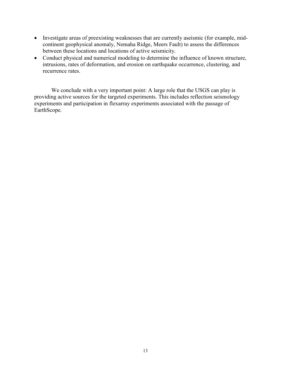- Investigate areas of preexisting weaknesses that are currently aseismic (for example, midcontinent geophysical anomaly, Nemaha Ridge, Meers Fault) to assess the differences between these locations and locations of active seismicity.
- Conduct physical and numerical modeling to determine the influence of known structure, intrusions, rates of deformation, and erosion on earthquake occurrence, clustering, and recurrence rates.

We conclude with a very important point: A large role that the USGS can play is providing active sources for the targeted experiments. This includes reflection seismology experiments and participation in flexarray experiments associated with the passage of EarthScope.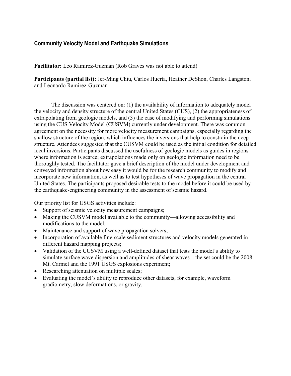### **Community Velocity Model and Earthquake Simulations**

**Facilitator:** Leo Ramirez-Guzman (Rob Graves was not able to attend)

**Participants (partial list):** Jer-Ming Chiu, Carlos Huerta, Heather DeShon, Charles Langston, and Leonardo Ramirez-Guzman

The discussion was centered on: (1) the availability of information to adequately model the velocity and density structure of the central United States (CUS), (2) the appropriateness of extrapolating from geologic models, and (3) the ease of modifying and performing simulations using the CUS Velocity Model (CUSVM) currently under development. There was common agreement on the necessity for more velocity measurement campaigns, especially regarding the shallow structure of the region, which influences the inversions that help to constrain the deep structure. Attendees suggested that the CUSVM could be used as the initial condition for detailed local inversions. Participants discussed the usefulness of geologic models as guides in regions where information is scarce; extrapolations made only on geologic information need to be thoroughly tested. The facilitator gave a brief description of the model under development and conveyed information about how easy it would be for the research community to modify and incorporate new information, as well as to test hypotheses of wave propagation in the central United States. The participants proposed desirable tests to the model before it could be used by the earthquake-engineering community in the assessment of seismic hazard.

Our priority list for USGS activities include:

- Support of seismic velocity measurement campaigns;
- Making the CUSVM model available to the community—allowing accessibility and modifications to the model;
- Maintenance and support of wave propagation solvers;
- Incorporation of available fine-scale sediment structures and velocity models generated in different hazard mapping projects;
- Validation of the CUSVM using a well-defined dataset that tests the model's ability to simulate surface wave dispersion and amplitudes of shear waves—the set could be the 2008 Mt. Carmel and the 1991 USGS explosions experiment;
- Researching attenuation on multiple scales;
- Evaluating the model's ability to reproduce other datasets, for example, waveform gradiometry, slow deformations, or gravity.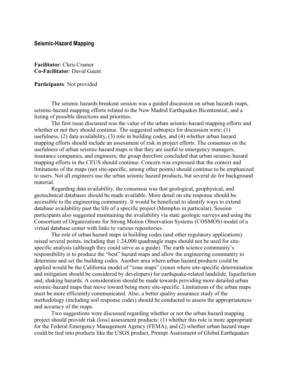#### **Seismic-Hazard Mapping**

**Facilitator**: Chris Cramer **Co-Facilitator**: David Gaunt

#### **Participants**: Not provided

The seismic hazards breakout session was a guided discussion on urban hazards maps, seismic-hazard mapping efforts related to the New Madrid Earthquakes Bicentennial, and a listing of possible directions and priorities.

The first issue discussed was the value of the urban seismic-hazard mapping efforts and whether or not they should continue. The suggested subtopics for discussion were: (1) usefulness, (2) data availability, (3) role in building codes, and (4) whether urban hazard mapping efforts should include an assessment of risk in project efforts. The consensus on the usefulness of urban seismic-hazard maps is that they are useful to emergency managers, insurance companies, and engineers; the group therefore concluded that urban seismic-hazard mapping efforts in the CEUS should continue. Concern was expressed that the context and limitations of the maps (not site-specific, among other points) should continue to be emphasized to users. Not all engineers use the urban seismic hazard products, but several do for background material.

Regarding data availability, the consensus was that geological, geophysical, and geotechnical databases should be made available. More detail on site response should be accessible to the engineering community. It would be beneficial to identify ways to extend database availability past the life of a specific project (Memphis in particular). Session participants also suggested maintaining the availability via state geologic surveys and using the Consortium of Organizations for Strong Motion Observation Systems (COSMOS) model of a virtual database center with links to various repositories.

The role of urban hazard maps in building codes (and other regulatory applications) raised several points, including that 1:24,000 quadrangle maps should not be used for sitespecific analysis (although they could serve as a guide). The earth science community's responsibility is to produce the "best" hazard maps and allow the engineering community to determine and set the building codes. Another area where urban hazard products could be applied would be the California model of "zone maps" (zones where site-specific determination and mitigation should be considered by developers) for earthquake-related landslide, liquefaction and, shaking hazards. A consideration should be made towards providing more detailed urban seismic-hazard maps that move toward being more site-specific. Limitations of the urban maps must be more efficiently communicated. Also, a better quality assurance study of the methodology (including soil response codes) should be conducted to assess the appropriateness and accuracy of the maps.

Two suggestions were discussed regarding whether or not the urban hazard mapping project should provide risk (loss) assessment products: (1) whether this role is more appropriate for the Federal Emergency Management Agency (FEMA), and (2) whether urban hazard maps could be tied into products like the USGS product, Prompt Assessment of Global Earthquakes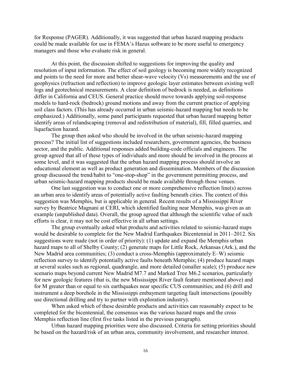for Response (PAGER). Additionally, it was suggested that urban hazard mapping products could be made available for use in FEMA's Hazus software to be more useful to emergency managers and those who evaluate risk in general.

At this point, the discussion shifted to suggestions for improving the quality and resolution of input information. The effect of soil geology is becoming more widely recognized and points to the need for more and better shear-wave velocity (Vs) measurements and the use of geophysics (refraction and reflection) to improve geologic layer estimates between existing well logs and geotechnical measurements. A clear definition of bedrock is needed, as definitions differ in California and CEUS. General practice should move towards applying soil-response models to hard-rock (bedrock) ground motions and away from the current practice of applying soil class factors. (This has already occurred in urban seismic-hazard mapping but needs to be emphasized.) Additionally, some panel participants requested that urban hazard mapping better identify areas of relandscaping (removal and redistribution of material), fill, filled quarries, and liquefaction hazard.

The group then asked who should be involved in the urban seismic-hazard mapping process? The initial list of suggestions included researchers, government agencies, the business sector, and the public. Additional responses added building-code officials and engineers. The group agreed that all of these types of individuals and more should be involved in the process at some level, and it was suggested that the urban hazard mapping process should involve an educational element as well as product generation and dissemination. Members of the discussion group discussed the trend/habit to "one-stop-shop" in the government permitting process, and urban seismic-hazard mapping products should be made available through those venues.

One last suggestion was to conduct one or more comprehensive reflection line(s) across an urban area to identify areas of potentially active faulting beneath cities. The context of this suggestion was Memphis, but is applicable in general. Recent results of a Mississippi River survey by Beatrice Magnani at CERI, which identified faulting near Memphis, was given as an example (unpublished data). Overall, the group agreed that although the scientific value of such efforts is clear, it may not be cost effective in all urban settings.

The group eventually asked what products and activities related to seismic-hazard maps would be desirable to complete for the New Madrid Earthquakes Bicentennial in 2011–2012. Six suggestions were made (not in order of priority): (1) update and expand the Memphis urban hazard maps to all of Shelby County; (2) generate maps for Little Rock, Arkansas (Ark.), and the New Madrid area communities; (3) conduct a cross-Memphis (approximately E–W) seismic reflection survey to identify potentially active faults beneath Memphis; (4) produce hazard maps at several scales such as regional, quadrangle, and more detailed (smaller scale); (5) produce new scenario maps beyond current New Madrid M7.7 and Marked Tree M6.2 scenarios, particularly for new geologic features (that is, the new Mississippi River fault feature mentioned above) and for M greater than or equal to six earthquakes near specific CUS communities; and (6) drill and instrument a deep borehole in the Mississippi embayment targeting fault intersections (possibly use directional drilling and try to partner with exploration industry).

When asked which of these desirable products and activities can reasonably expect to be completed for the bicentennial, the consensus was the various hazard maps and the cross Memphis reflection line (first five tasks listed in the previous paragraph).

Urban hazard mapping priorities were also discussed. Criteria for setting priorities should be based on the hazard/risk of an urban area, community involvement, and researcher interest.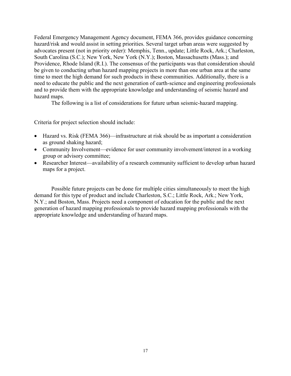Federal Emergency Management Agency document, FEMA 366, provides guidance concerning hazard/risk and would assist in setting priorities. Several target urban areas were suggested by advocates present (not in priority order): Memphis, Tenn., update; Little Rock, Ark.; Charleston, South Carolina (S.C.); New York, New York (N.Y.); Boston, Massachusetts (Mass.); and Providence, Rhode Island (R.I.). The consensus of the participants was that consideration should be given to conducting urban hazard mapping projects in more than one urban area at the same time to meet the high demand for such products in these communities. Additionally, there is a need to educate the public and the next generation of earth-science and engineering professionals and to provide them with the appropriate knowledge and understanding of seismic hazard and hazard maps.

The following is a list of considerations for future urban seismic-hazard mapping.

Criteria for project selection should include:

- Hazard vs. Risk (FEMA 366)—infrastructure at risk should be as important a consideration as ground shaking hazard;
- Community Involvement—evidence for user community involvement/interest in a working group or advisory committee;
- Researcher Interest—availability of a research community sufficient to develop urban hazard maps for a project.

Possible future projects can be done for multiple cities simultaneously to meet the high demand for this type of product and include Charleston, S.C.; Little Rock, Ark.; New York, N.Y.; and Boston, Mass. Projects need a component of education for the public and the next generation of hazard mapping professionals to provide hazard mapping professionals with the appropriate knowledge and understanding of hazard maps.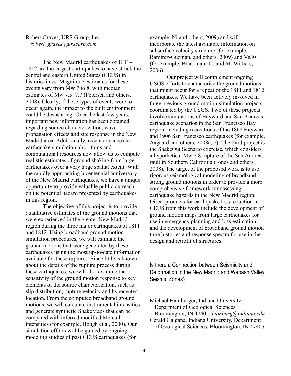Robert Graves, URS Group, Inc., *[robert\\_graves@urscorp.com](mailto:robert_graves@urscorp.com)*

The New Madrid earthquakes of 1811– 1812 are the largest earthquakes to have struck the central and eastern United States (CEUS) in historic times. Magnitude estimates for these events vary from Mw 7 to 8, with median estimates of Mw 7.5–7.7 (Petersen and others, 2008). Clearly, if these types of events were to occur again, the impact to the built environment could be devastating. Over the last few years, important new information has been obtained regarding source characterization, wave propagation effects and site response in the New Madrid area. Additionally, recent advances in earthquake simulation algorithms and computational resources now allow us to compute realistic estimates of ground shaking from large earthquakes over a very large spatial extent. With the rapidly approaching bicentennial anniversary of the New Madrid earthquakes, we have a unique opportunity to provide valuable public outreach on the potential hazard presented by earthquakes in this region.

The objective of this project is to provide quantitative estimates of the ground motions that were experienced in the greater New Madrid region during the three major earthquakes of 1811 and 1812. Using broadband ground motion simulation procedures, we will estimate the ground motions that were generated by these earthquakes using the most up-to-date information available for these ruptures. Since little is known about the details of the rupture process during these earthquakes, we will also examine the sensitivity of the ground motion response to key elements of the source characterization, such as slip distribution, rupture velocity and hypocenter location. From the computed broadband ground motions, we will calculate instrumental intensities and generate synthetic ShakeMaps that can be compared with inferred modified Mercalli intensities (for example, Hough et al, 2000). Our simulation efforts will be guided by ongoing modeling studies of past CEUS earthquakes (for

example, Ni and others, 2009) and will incorporate the latest available information on subsurface velocity structure (for example, Ramirez-Guzman, and others, 2009) and Vs30 (for example, Brackman, T., and M. Withers, 2006).

Our project will complement ongoing USGS efforts to characterize the ground motions that might occur for a repeat of the 1811 and 1812 earthquakes. We have been actively involved in three previous ground motion simulation projects coordinated by the USGS. Two of these projects involve simulations of Hayward and San Andreas earthquake scenarios in the San Francisco Bay region, including recreations of the 1868 Hayward and 1906 San Francisco earthquakes (for example, Aagaard and others, 2008a, b). The third project is the ShakeOut Scenario exercise, which considers a hypothetical Mw 7.8 rupture of the San Andreas fault in Southern California (Jones and others, 2008). The target of the proposed work is to use rigorous seismological modeling of broadband strong ground motions in order to provide a more comprehensive framework for assessing earthquake hazards in the New Madrid region. Direct products for earthquake loss reduction in CEUS from this work include the development of ground motion maps from large earthquakes for use in emergency planning and loss estimation, and the development of broadband ground motion time histories and response spectra for use in the design and retrofit of structures.

Is there a Connection between Seismicity and Deformation in the New Madrid and Wabash Valley Seismic Zones?

Michael Hamburger, Indiana University, Department of Geological Sciences, Bloomington, IN 47405, *[hamburg@indiana.edu](mailto:hamburg@indiana.edu)* Gerald Galgana, Indiana University, Department of Geological Sciences, Bloomington, IN 47405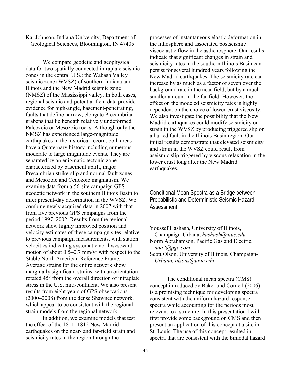### Kaj Johnson, Indiana University, Department of Geological Sciences, Bloomington, IN 47405

We compare geodetic and geophysical data for two spatially connected intraplate seismic zones in the central U.S.: the Wabash Valley seismic zone (WVSZ) of southern Indiana and Illinois and the New Madrid seismic zone (NMSZ) of the Mississippi valley. In both cases, regional seismic and potential field data provide evidence for high-angle, basement-penetrating, faults that define narrow, elongate Precambrian grabens that lie beneath relatively undeformed Paleozoic or Mesozoic rocks. Although only the NMSZ has experienced large-magnitude earthquakes in the historical record, both areas have a Quaternary history including numerous moderate to large magnitude events. They are separated by an enigmatic tectonic zone characterized by basement uplift, major Precambrian strike-slip and normal fault zones, and Mesozoic and Cenozoic magmatism. We examine data from a 56-site campaign GPS geodetic network in the southern Illinois Basin to infer present-day deformation in the WVSZ. We combine newly acquired data in 2007 with that from five previous GPS campaigns from the period 1997–2002. Results from the regional network show highly improved position and velocity estimates of these campaign sites relative to previous campaign measurements, with station velocities indicating systematic northwestward motion of about 0.5–0.7 mm/yr with respect to the Stable North American Reference Frame. Average strains for the entire network show marginally significant strains, with an orientation rotated 45° from the overall direction of intraplate stress in the U.S. mid-continent. We also present results from eight years of GPS observations (2000–2008) from the dense Shawnee network, which appear to be consistent with the regional strain models from the regional network.

In addition, we examine models that test the effect of the 1811–1812 New Madrid earthquakes on the near- and far-field strain and seismicity rates in the region through the

processes of instantaneous elastic deformation in the lithosphere and associated postseismic viscoelastic flow in the asthenosphere. Our results indicate that significant changes in strain and seismicity rates in the southern Illinois Basin can persist for several hundred years following the New Madrid earthquakes. The seismicity rate can increase by as much as a factor of seven over the background rate in the near-field, but by a much smaller amount in the far-field. However, the effect on the modeled seismicity rates is highly dependent on the choice of lower-crust viscosity. We also investigate the possibility that the New Madrid earthquakes could modify seismicity or strain in the WVSZ by producing triggered slip on a buried fault in the Illinois Basin region. Our initial results demonstrate that elevated seismicity and strain in the WVSZ could result from aseismic slip triggered by viscous relaxation in the lower crust long after the New Madrid earthquakes.

Conditional Mean Spectra as a Bridge between Probabilistic and Deterministic Seismic Hazard Assessment

Youssef Hashash, University of Illinois, Champaign-Urbana, *hashash@uiuc.edu*  Norm Abrahamson, Pacific Gas and Electric, *naa2@pge.com* Scott Olson, University of Illinois, Champaign-

*Urbana, olsons@uiuc.edu* 

The conditional mean spectra (CMS) concept introduced by Baker and Cornell (2006) is a promising technique for developing spectra consistent with the uniform hazard response spectra while accounting for the periods most relevant to a structure. In this presentation I will first provide some background on CMS and then present an application of this concept at a site in St. Louis. The use of this concept resulted in spectra that are consistent with the bimodal hazard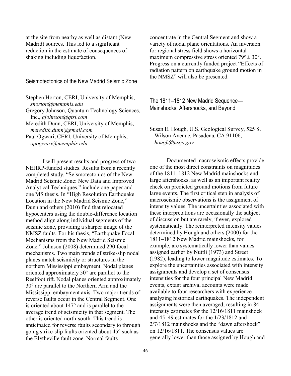at the site from nearby as well as distant (New Madrid) sources. This led to a significant reduction in the estimate of consequences of shaking including liquefaction.

Seismotectonics of the New Madrid Seismic Zone

Stephen Horton, CERI, University of Memphis, *shorton@memphis.edu* 

- Gregory Johnson, Quantum Technology Sciences, Inc., *gjohnson@qtsi.com*
- Meredith Dunn, CERI, University of Memphis, *meredith.dunn@gmail.com*

Paul Ogwari, CERI, University of Memphis, *opogwari@memphis.edu* 

I will present results and progress of two NEHRP-funded studies. Results from a recently completed study, "Seismotectonics of the New Madrid Seismic Zone: New Data and Improved Analytical Techniques," include one paper and one MS thesis. In "High Resolution Earthquake Location in the New Madrid Seismic Zone," Dunn and others (2010) find that relocated hypocenters using the double-difference location method align along individual segments of the seismic zone, providing a sharper image of the NMSZ faults. For his thesis, "Earthquake Focal Mechanisms from the New Madrid Seismic Zone," Johnson (2008) determined 290 focal mechanisms. Two main trends of strike-slip nodal planes match seismicity or structures in the northern Mississippi embayment. Nodal planes oriented approximately 50° are parallel to the Reelfoot rift. Nodal planes oriented approximately 30° are parallel to the Northern Arm and the Mississippi embayment axis. Two major trends of reverse faults occur in the Central Segment. One is oriented about 147° and is parallel to the average trend of seismicity in that segment. The other is oriented north-south. This trend is anticipated for reverse faults secondary to through going strike-slip faults oriented about 45° such as the Blytheville fault zone. Normal faults

concentrate in the Central Segment and show a variety of nodal plane orientations. An inversion for regional stress field shows a horizontal maximum compressive stress oriented  $79^{\circ} \pm 30^{\circ}$ . Progress on a currently funded project "Effects of radiation pattern on earthquake ground motion in the NMSZ" will also be presented.

## The 1811–1812 New Madrid Sequence— Mainshocks, Aftershocks, and Beyond

Susan E. Hough, U.S. Geological Survey, 525 S. Wilson Avenue, Pasadena, CA 91106, *[hough@usgs.gov](mailto:hough@usgs.gov)*

Documented macroseismic effects provide one of the most direct constraints on magnitudes of the 1811–1812 New Madrid mainshocks and large aftershocks, as well as an important reality check on predicted ground motions from future large events. The first critical step in analysis of macroseismic observations is the assignment of intensity values. The uncertainties associated with these interpretations are occasionally the subject of discussion but are rarely, if ever, explored systematically. The reinterpreted intensity values determined by Hough and others (2000) for the 1811–1812 New Madrid mainshocks, for example, are systematically lower than values assigned earlier by Nuttli (1973) and Street (1982), leading to lower magnitude estimates. To explore the uncertainties associated with intensity assignments and develop a set of consensus intensities for the four principal New Madrid events, extant archival accounts were made available to four researchers with experience analyzing historical earthquakes. The independent assignments were then averaged, resulting in 84 intensity estimates for the 12/16/1811 mainshock and 45–49 estimates for the 1/23/1812 and 2/7/1812 mainshocks and the "dawn aftershock" on 12/16/1811. The consensus values are generally lower than those assigned by Hough and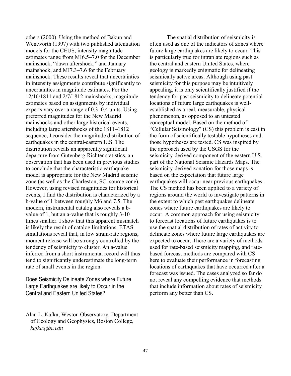others (2000). Using the method of Bakun and Wentworth (1997) with two published attenuation models for the CEUS, intensity magnitude estimates range from MI6.5–7.0 for the December mainshock, "dawn aftershock," and January mainshock, and MI7.3–7.6 for the February mainshock. These results reveal that uncertainties in intensity assignments contribute significantly to uncertainties in magnitude estimates. For the 12/16/1811 and 2/7/1812 mainshocks, magnitude estimates based on assignments by individual experts vary over a range of 0.3–0.4 units. Using preferred magnitudes for the New Madrid mainshocks and other large historical events, including large aftershocks of the 1811–1812 sequence, I consider the magnitude distribution of earthquakes in the central-eastern U.S. The distribution reveals an apparently significant departure from Gutenberg-Richter statistics, an observation that has been used in previous studies to conclude that the characteristic earthquake model is appropriate for the New Madrid seismic zone (as well as the Charleston, SC, source zone). However, using revised magnitudes for historical events, I find the distribution is characterized by a b-value of 1 between roughly M6 and 7.5. The modern, instrumental catalog also reveals a bvalue of 1, but an a-value that is roughly 3-10 times smaller. I show that this apparent mismatch is likely the result of catalog limitations. ETAS simulations reveal that, in low strain-rate regions, moment release will be strongly controlled by the tendency of seismicity to cluster. An a-value inferred from a short instrumental record will thus tend to significantly underestimate the long-term rate of small events in the region.

Does Seismicity Delineate Zones where Future Large Earthquakes are likely to Occur in the Central and Eastern United States?

Alan L. Kafka, Weston Observatory, Department of Geology and Geophysics, Boston College, *[kafka@bc.edu](mailto:kafka@bc.edu)*

The spatial distribution of seismicity is often used as one of the indicators of zones where future large earthquakes are likely to occur. This is particularly true for intraplate regions such as the central and eastern United States, where geology is markedly enigmatic for delineating seismically active areas. Although using past seismicity for this purpose may be intuitively appealing, it is only scientifically justified if the tendency for past seismicity to delineate potential locations of future large earthquakes is wellestablished as a real, measurable, physical phenomenon, as opposed to an untested conceptual model. Based on the method of "Cellular Seismology" (CS) this problem is cast in the form of scientifically testable hypotheses and those hypotheses are tested. CS was inspired by the approach used by the USGS for the seismicity-derived component of the eastern U.S. part of the National Seismic Hazards Maps. The seismicity-derived zonation for those maps is based on the expectation that future large earthquakes will occur near previous earthquakes. The CS method has been applied to a variety of regions around the world to investigate patterns in the extent to which past earthquakes delineate zones where future earthquakes are likely to occur. A common approach for using seismicity to forecast locations of future earthquakes is to use the spatial distribution of rates of activity to delineate zones where future large earthquakes are expected to occur. There are a variety of methods used for rate-based seismicity mapping, and ratebased forecast methods are compared with CS here to evaluate their performance in forecasting locations of earthquakes that have occurred after a forecast was issued. The cases analyzed so far do not reveal any compelling evidence that methods that include information about rates of seismicity perform any better than CS.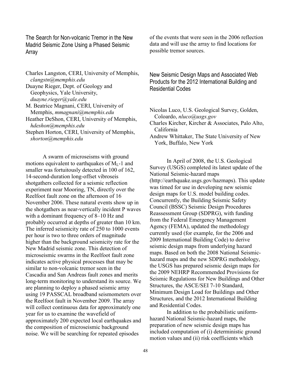The Search for Non-volcanic Tremor in the New Madrid Seismic Zone Using a Phased Seismic Array

Charles Langston, CERI, University of Memphis, *clangstn@memphis.edu*

Duayne Rieger, Dept. of Geology and Geophysics, Yale University, *duayne.rieger@yale.edu* 

M. Beatrice Magnani, CERI, University of Memphis, *mmagnani@memphis.edu*

Heather DeShon, CERI, University of Memphis, *hdeshon@memphis.edu*

Stephen Horton, CERI, University of Memphis, *shorton@memphis.edu*

A swarm of microseisms with ground motions equivalent to earthquakes of  $M<sub>L</sub>$ -1 and smaller was fortuitously detected in 100 of 162, 14-second-duration long-offset vibroseis shotgathers collected for a seismic reflection experiment near Mooring, TN, directly over the Reelfoot fault zone on the afternoon of 16 November 2006. These natural events show up in the shotgathers as near-vertically incident P waves with a dominant frequency of 8–10 Hz and probably occurred at depths of greater than 10 km. The inferred seismicity rate of 250 to 1000 events per hour is two to three orders of magnitude higher than the background seismicity rate for the New Madrid seismic zone. This detection of microseismic swarms in the Reelfoot fault zone indicates active physical processes that may be similar to non-volcanic tremor seen in the Cascadia and San Andreas fault zones and merits long-term monitoring to understand its source. We are planning to deploy a phased seismic array using 19 PASSCAL broadband seismometers over the Reelfoot fault in November 2009. The array will collect continuous data for approximately one year for us to examine the wavefield of approximately 200 expected local earthquakes and the composition of microseismic background noise. We will be searching for repeated episodes

of the events that were seen in the 2006 reflection data and will use the array to find locations for possible tremor sources.

New Seismic Design Maps and Associated Web Products for the 2012 International Building and Residential Codes

Nicolas Luco, U.S. Geological Survey, Golden, Coloardo, *[nluco@usgs.gov](mailto:nluco@usgs.gov)*

Charles Kircher, Kircher & Associates, Palo Alto, California

Andrew Whittaker, The State University of New York, Buffalo, New York

In April of 2008, the U.S. Geological Survey (USGS) completed its latest update of the National Seismic-hazard maps (http://earthquake.usgs.gov/hazmaps). This update was timed for use in developing new seismic design maps for U.S. model building codes. Concurrently, the Building Seismic Safety Council (BSSC) Seismic Design Procedures Reassessment Group (SDPRG), with funding from the Federal Emergency Management Agency (FEMA), updated the methodology currently used (for example, for the 2006 and 2009 International Building Code) to derive seismic design maps from underlying hazard maps. Based on both the 2008 National Seismichazard maps and the new SDPRG methodology, the USGS has prepared seismic design maps for the 2009 NEHRP Recommended Provisions for Seismic Regulations for New Buildings and Other Structures, the ASCE/SEI 7-10 Standard, Minimum Design Load for Buildings and Other Structures, and the 2012 International Building and Residential Codes.

In addition to the probabilistic uniformhazard National Seismic-hazard maps, the preparation of new seismic design maps has included computation of (i) deterministic ground motion values and (ii) risk coefficients which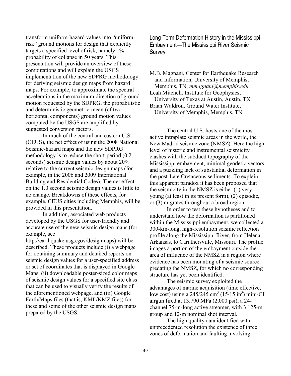transform uniform-hazard values into "uniformrisk" ground motions for design that explicitly targets a specified level of risk, namely 1% probability of collapse in 50 years. This presentation will provide an overview of these computations and will explain the USGS implementation of the new SDPRG methodology for deriving seismic design maps from hazard maps. For example, to approximate the spectral accelerations in the maximum direction of ground motion requested by the SDPRG, the probabilistic and deterministic geometric-mean (of two horizontal components) ground motion values computed by the USGS are amplified by suggested conversion factors.

In much of the central and eastern U.S. (CEUS), the net effect of using the 2008 National Seismic-hazard maps and the new SDPRG methodology is to reduce the short-period (0.2 seconds) seismic design values by about 20% relative to the current seismic design maps (for example, in the 2006 and 2009 International Building and Residential Codes). The net effect on the 1.0 second seismic design values is little to no change. Breakdowns of these effects, for example, CEUS cities including Memphis, will be provided in this presentation.

In addition, associated web products developed by the USGS for user-friendly and accurate use of the new seismic design maps (for example, see

http://earthquake.usgs.gov/designmaps) will be described. These products include (i) a webpage for obtaining summary and detailed reports on seismic design values for a user-specified address or set of coordinates that is displayed in Google Maps, (ii) downloadable poster-sized color maps of seismic design values for a specified site class that can be used to visually verify the results of the aforementioned webpage, and (iii) Google Earth/Maps files (that is, KML/KMZ files) for these and some of the other seismic design maps prepared by the USGS.

Long-Term Deformation History in the Mississippi Embayment—The Mississippi River Seismic Survey

M.B. Magnani, Center for Earthquake Research and Information, University of Memphis, Memphis, TN, *[mmagnani@memphis.edu](mailto:mmagnani@memphis.edu)* Leah Mitchell, Institute for Geophysics,

University of Texas at Austin, Austin, TX Brian Waldron, Ground Water Institute, University of Memphis, Memphis, TN

The central U.S. hosts one of the most active intraplate seismic areas in the world, the New Madrid seismic zone (NMSZ). Here the high level of historic and instrumental seismicity clashes with the subdued topography of the Mississippi embayment, minimal geodetic vectors and a puzzling lack of substantial deformation in the post-Late Cretaceous sediments. To explain this apparent paradox it has been proposed that the seismicity in the NMSZ is either (1) very young (at least in its present form), (2) episodic, or (3) migrates throughout a broad region.

In order to test these hypotheses and to understand how the deformation is partitioned within the Mississippi embayment, we collected a 300-km-long, high-resolution seismic reflection profile along the Mississippi River, from Helena, Arkansas, to Caruthersville, Missouri. The profile images a portion of the embayment outside the area of influence of the NMSZ in a region where evidence has been mounting of a seismic source, predating the NMSZ, for which no corresponding structure has yet been identified.

The seismic survey exploited the advantages of marine acquisition (time effective, low cost) using a  $245/245$  cm<sup>3</sup> ( $15/15$  in<sup>3</sup>) mini-GI airgun fired at 13.790 MPa (2,000 psi), a 24 channel 75-m-long active streamer, with 3.125-m group and 12-m nominal shot interval.

The high quality data identified with unprecedented resolution the existence of three zones of deformation and faulting involving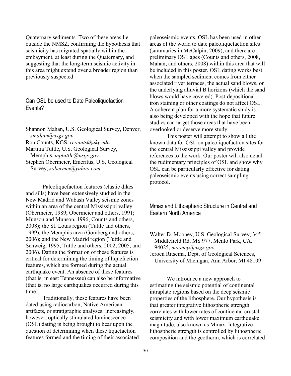Quaternary sediments. Two of these areas lie outside the NMSZ, confirming the hypothesis that seismicity has migrated spatially within the embayment, at least during the Quaternary, and suggesting that the long-term seismic activity in this area might extend over a broader region than previously suspected.

Can OSL be used to Date Paleoliquefaction Events?

Shannon Mahan, U.S. Geological Survey, Denver, *smahan@usgs.gov* Ron Counts, KGS, *rcounts@uky.edu*  Martitia Tuttle, U.S. Geological Survey, Memphis, *mptuttle@usgs.gov* Stephen Obermeier, Emeritus, U.S. Geological Survey, *sobermei@yahoo.com*

Paleoliquefaction features (clastic dikes and sills) have been extensively studied in the New Madrid and Wabash Valley seismic zones within an area of the central Mississippi valley (Obermeier, 1989; Obermeier and others, 1991; Munson and Munson, 1996; Counts and others, 2008); the St. Louis region (Tuttle and others, 1999); the Memphis area (Gomberg and others, 2006); and the New Madrid region (Tuttle and Schweig, 1995; Tuttle and others, 2002, 2005, and 2006). Dating the formation of these features is critical for determining the timing of liquefaction features, which are formed during the actual earthquake event. An absence of these features (that is, in east Tennessee) can also be informative (that is, no large earthquakes occurred during this time).

Traditionally, these features have been dated using radiocarbon, Native American artifacts, or stratigraphic analyses. Increasingly, however, optically stimulated luminescence (OSL) dating is being brought to bear upon the question of determining when these liquefaction features formed and the timing of their associated paleoseismic events. OSL has been used in other areas of the world to date paleoliquefaction sites (summaries in McCalpin, 2009), and there are preliminary OSL ages (Counts and others, 2008, Mahan, and others, 2008) within this area that will be included in this poster. OSL dating works best when the sampled sediment comes from either associated river terraces, the actual sand blows, or the underlying alluvial B horizons (which the sand blows would have covered). Post-depositional iron staining or other coatings do not affect OSL. A coherent plan for a more systematic study is also being developed with the hope that future studies can target those areas that have been overlooked or deserve more study.

This poster will attempt to show all the known data for OSL on paleoliquefaction sites for the central Mississippi valley and provide references to the work. Our poster will also detail the rudimentary principles of OSL and show why OSL can be particularly effective for dating paleoseismic events using correct sampling protocol.

Mmax and Lithospheric Structure in Central and Eastern North America

Walter D. Mooney, U.S. Geological Survey, 345 Middlefield Rd, MS 977, Menlo Park, CA. 94025, *[mooney@usgs.gov](mailto:mooney@usgs.gov)* Jeroen Ritsema, Dept. of Geological Sciences,

University of Michigan, Ann Arbor, MI 48109

We introduce a new approach to estimating the seismic potential of continental intraplate regions based on the deep seismic properties of the lithosphere. Our hypothesis is that greater integrative lithospheric strength correlates with lower rates of continental crustal seismicity and with lower maximum earthquake magnitude, also known as Mmax. Integrative lithospheric strength is controlled by lithospheric composition and the geotherm, which is correlated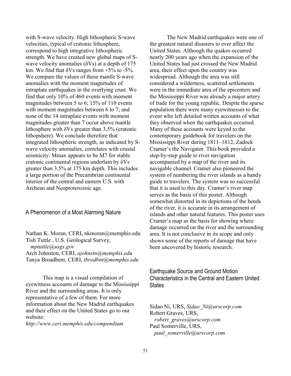with S-wave velocity. High lithospheric S-wave velocities, typical of cratonic lithosphere, correspond to high integrative lithospheric strength. We have created new global maps of Swave velocity anomalies ( $\delta Vs$ ) at a depth of 175 km. We find that  $\delta Vs$  ranges from  $+5\%$  to  $-5\%$ . We compare the values of these mantle S-wave anomalies with the moment magnitudes of intraplate earthquakes in the overlying crust. We find that only 10% of 460 events with moment magnitudes between 5 to 6; 15% of 110 events with moment magnitudes between 6 to 7; and none of the 14 intraplate events with moment magnitudes greater than 7 occur above mantle lithosphere with δVs greater than 3.5% (cratonic lithopshere). We conclude therefore that integrated lithospheric strength, as indicated by Swave velocity anomalies, correlates with crustal seismicity. Mmax appears to be M7 for stable cratonic continental regions underlain by δVs greater than 3.5% at 175 km depth. This includes a large portion of the Precambrian continental interior of the central and eastern U.S. with Archean and Neoproterozoic age.

### A Phenomenon of a Most Alarming Nature

Nathan K. Moran, CERI, [nkmoran@memphis.edu](mailto:nkmoran@memphis.edu) Tish Tuttle , U.S. Geological Survey, *[mptuttle@usgs.gov](mailto:mptuttle@usgs.gov)* Arch Johnston, CERI, *[ajohnstn@memphis.edu](mailto:ajohnstn@memphis.edu)*

Tanya Broadbent, CERI, *[tbrodbnt@memphis.edu](mailto:tbrodbnt@memphis.edu)*

This map is a visual compilation of eyewitness accounts of damage to the Mississippi River and the surrounding areas. It is only representative of a few of them. For more information about the New Madrid earthquakes and their effect on the United States go to our website:

*<http://www.ceri.memphis.edu/compendium>*

The New Madrid earthquakes were one of the greatest natural disasters to ever affect the United States. Although the quakes occurred nearly 200 years ago when the expansion of the United States had just crossed the New Madrid area, their effect upon the country was widespread. Although the area was still considered a wilderness, scattered settlements were in the immediate area of the epicenters and the Mississippi River was already a major artery of trade for the young republic. Despite the sparse population there were many eyewitnesses to the event who left detailed written accounts of what they observed when the earthquakes occurred. Many of these accounts were keyed to the contemporary guidebook for travelers on the Mississippi River during 1811–1812, Zadock Cramer's the Navigator. This book provided a step-by-step guide to river navigation accompanied by a map of the river and its navigable channel. Cramer also pioneered the system of numbering the river islands as a handy guide to travelers. The system was so successful that it is used to this day. Cramer's river map serves as the basis of this poster. Although somewhat distorted in its depictions of the bends of the river, it is accurate in its arrangement of islands and other natural features. This poster uses Cramer's map as the basis for showing where damage occurred on the river and the surrounding area. It is not conclusive in its scope and only shows some of the reports of damage that have been uncovered by historic research.

Earthquake Source and Ground Motion Characteristics in the Central and Eastern United **States** 

Sidao Ni, URS, *[Sidao\\_Ni@urscorp.com](mailto:Sidao_Ni@urscorp.com)* Robert Graves, URS, *robert\_graves@urscorp.com* Paul Somerville, URS, *paul\_somerville@urscorp.com*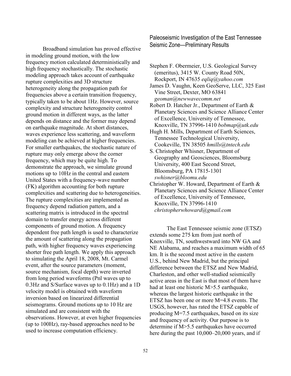Broadband simulation has proved effective in modeling ground motion, with the low frequency motion calculated deterministically and high frequency stochastically. The stochastic modeling approach takes account of earthquake rupture complexities and 3D structure heterogeneity along the propagation path for frequencies above a certain transition frequency, typically taken to be about 1Hz. However, source complexity and structure heterogeneity control ground motion in different ways, as the latter depends on distance and the former may depend on earthquake magnitude. At short distances, waves experience less scattering, and waveform modeling can be achieved at higher frequencies. For smaller earthquakes, the stochastic nature of rupture may only emerge above the corner frequency, which may be quite high. To demonstrate the approach, we simulate ground motions up to 10Hz in the central and eastern United States with a frequency-wave number (FK) algorithm accounting for both rupture complexities and scattering due to heterogeneities. The rupture complexities are implemented as frequency depend radiation pattern, and a scattering matrix is introduced in the spectral domain to transfer energy across different components of ground motion. A frequency dependent free path length is used to characterize the amount of scattering along the propagation path, with higher frequency waves experiencing shorter free path length. We apply this approach to simulating the April 18, 2008, Mt. Carmel event, after the source parameters (moment, source mechanism, focal depth) were inverted from long period waveforms (Pnl waves up to 0.3Hz and S/Surface waves up to 0.1Hz) and a 1D velocity model is obtained with waveform inversion based on linearized differential seismograms. Ground motions up to 10 Hz are simulated and are consistent with the observations. However, at even higher frequencies (up to 100Hz), ray-based approaches need to be used to increase computation efficiency.

Paleoseismic Investigation of the East Tennessee Seismic Zone—Preliminary Results

- Stephen F. Obermeier, U.S. Geological Survey (emeritus), 3415 W. County Road 50N, Rockport, IN 47635 *eqliq@yahoo.com*
- James D. Vaughn, Keen GeoServe, LLC, 325 East Vine Street, Dexter, MO 63841 *geoman@newwavecomm.net*

Robert D. Hatcher Jr., Department of Earth & Planetary Sciences and Science Alliance Center of Excellence, University of Tennessee, Knoxville, TN 37996-1410 *bobmap@utk.edu*

Hugh H. Mills, Department of Earth Sciences, Tennessee Technological University, Cookeville, TN 38505 *hmills@tntech.edu*

- S. Christopher Whisner, Department of Geography and Geosciences, Bloomsburg University, 400 East Second Street, Bloomsburg, PA 17815-1301 *swhisner@bloomu.edu*
- Christopher W. Howard, Department of Earth & Planetary Sciences and Science Alliance Center of Excellence, University of Tennessee, Knoxville, TN 37996-1410 *christopherwhoward@gmail.com*

The East Tennessee seismic zone (ETSZ) extends some 275 km from just north of Knoxville, TN, southwestward into NW GA and NE Alabama, and reaches a maximum width of 65 km. It is the second most active in the eastern U.S., behind New Madrid, but the principal difference between the ETSZ and New Madrid, Charleston, and other well-studied seismically active areas in the East is that most of them have had at least one historic M 
starthquake, whereas the largest historic earthquake in the ETSZ has been one or more M=4.8 events. The USGS, however, has rated the ETSZ capable of producing M=7.5 earthquakes, based on its size and frequency of activity. Our purpose is to determine if M>5.5 earthquakes have occurred here during the past 10,000–20,000 years, and if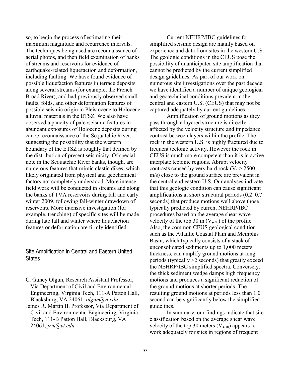so, to begin the process of estimating their maximum magnitude and recurrence intervals. The techniques being used are reconnaissance of aerial photos, and then field examination of banks of streams and reservoirs for evidence of earthquake-related liquefaction and deformation, including faulting. We have found evidence of possible liquefaction features in terrace deposits along several streams (for example, the French Broad River), and had previously observed small faults, folds, and other deformation features of possible seismic origin in Pleistocene to Holocene alluvial materials in the ETSZ. We also have observed a paucity of paleoseismic features in abundant exposures of Holocene deposits during canoe reconnaissance of the Sequatchie River, suggesting the possibility that the western boundary of the ETSZ is roughly that defined by the distribution of present seismicity. Of special note in the Sequatchie River banks, though, are numerous features that mimic clastic dikes, which likely originated from physical and geochemical factors not completely understood. More intense field work will be conducted in streams and along the banks of TVA reservoirs during fall and early winter 2009, following fall-winter drawdown of reservoirs. More intensive investigation (for example, trenching) of specific sites will be made during late fall and winter where liquefaction features or deformation are firmly identified.

# Site Amplification in Central and Eastern United **States**

- C. Guney Olgun, Research Assistant Professor, Via Department of Civil and Environmental Engineering, Virginia Tech, 111-A Patton Hall, Blacksburg, VA 24061, *olgun@vt.edu*
- James R. Martin II, Professor, Via Department of Civil and Environmental Engineering, Virginia Tech, 111-B Patton Hall, Blacksburg, VA 24061, *jrm@vt.edu*

Current NEHRP/IBC guidelines for simplified seismic design are mainly based on experience and data from sites in the western U.S. The geologic conditions in the CEUS pose the possibility of unanticipated site amplification that cannot be predicted by the current simplified design guidelines. As part of our work on numerous site investigations over the past decade, we have identified a number of unique geological and geotechnical conditions prevalent in the central and eastern U.S. (CEUS) that may not be captured adequately by current guidelines.

Amplification of ground motions as they pass through a layered structure is directly affected by the velocity structure and impedance contrast between layers within the profile. The rock in the western U.S. is highly fractured due to frequent tectonic activity. However the rock in CEUS is much more competent than it is in active interplate tectonic regions. Abrupt velocity contrasts caused by very hard rock ( $V_s > 2500$ ) m/s) close to the ground surface are prevalent in the central and eastern U.S. Our analyses indicate that this geologic condition can cause significant amplifications at short structural periods (0.2–0.7 seconds) that produce motions well above those typically predicted by current NEHRP/IBC procedures based on the average shear wave velocity of the top 30 m  $(V<sub>s-30</sub>)$  of the profile. Also, the common CEUS geological condition such as the Atlantic Coastal Plain and Memphis Basin, which typically consists of a stack of unconsolidated sediments up to 1,000 meters thickness, can amplify ground motions at long periods (typically >2 seconds) that greatly exceed the NEHRP/IBC simplified spectra. Conversely, the thick sediment wedge damps high frequency motions and produces a significant reduction of the ground motions at shorter periods. The resulting ground motions at periods less than 1.0 second can be significantly below the simplified guidelines.

In summary, our findings indicate that site classification based on the average shear wave velocity of the top 30 meters  $(V<sub>s-30</sub>)$  appears to work adequately for sites in regions of frequent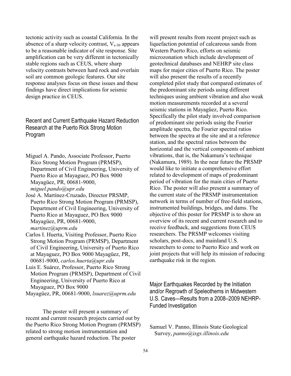tectonic activity such as coastal California. In the absence of a sharp velocity contrast,  $V<sub>s-30</sub>$  appears to be a reasonable indicator of site response. Site amplification can be very different in tectonically stable regions such as CEUS, where sharp velocity contrasts between hard rock and overlain soil are common geologic features. Our site response analyses focus on these issues and these findings have direct implications for seismic design practice in CEUS.

Recent and Current Earthquake Hazard Reduction Research at the Puerto Rick Strong Motion Program

- Miguel A. Pando, Associate Professor, Puerto Rico Strong Motion Program (PRMSP), Department of Civil Engineering, University of Puerto Rico at Mayaguez, PO Box 9000 Mayagüez, PR, 00681-9000, *miguel.pando@upr.edu*
- José A. Martínez-Cruzado, Director PRSMP, Puerto Rico Strong Motion Program (PRMSP), Department of Civil Engineering, University of Puerto Rico at Mayaguez, PO Box 9000 Mayagüez, PR, 00681-9000, *martinez@uprm.edu*
- Carlos I. Huerta, Visiting Professor, Puerto Rico Strong Motion Program (PRMSP), Department of Civil Engineering, University of Puerto Rico at Mayaguez, PO Box 9000 Mayagüez, PR, 00681-9000, *carlos.huerta@upr.edu*
- Luis E. Suárez, Professor, Puerto Rico Strong Motion Program (PRMSP), Department of Civil Engineering, University of Puerto Rico at Mayaguez, PO Box 9000

Mayagüez, PR, 00681-9000, *lsuarez@uprm.edu*

The poster will present a summary of recent and current research projects carried out by the Puerto Rico Strong Motion Program (PRMSP) related to strong motion instrumentation and general earthquake hazard reduction. The poster

will present results from recent project such as liquefaction potential of calcareous sands from Western Puerto Rico, efforts on seismic microzonation which include development of geotechnical databases and NEHRP site class maps for major cities of Puerto Rico. The poster will also present the results of a recently completed pilot study that compared estimates of the predominant site periods using different techniques using ambient vibration and also weak motion measurements recorded at a several seismic stations in Mayagüez, Puerto Rico. Specifically the pilot study involved comparison of predominant site periods using the Fourier amplitude spectra, the Fourier spectral ratios between the spectra at the site and at a reference station, and the spectral ratios between the horizontal and the vertical components of ambient vibrations, that is, the Nakamura's technique (Nakamura, 1989). In the near future the PRSMP would like to initiate a comprehensive effort related to development of maps of predominant period of vibration for the main cities of Puerto Rico. The poster will also present a summary of the current state of the PRSMP instrumentation network in terms of number of free-field stations, instrumented buildings, bridges, and dams. The objective of this poster for PRSMP is to show an overview of its recent and current research and to receive feedback, and suggestions from CEUS researchers. The PRSMP welcomes visiting scholars, post-docs, and mainland U.S. researchers to come to Puerto Rico and work on joint projects that will help its mission of reducing earthquake risk in the region.

Major Earthquakes Recorded by the Initiation and/or Regrowth of Speleothems in Midwestern U.S. Caves—Results from a 2008–2009 NEHRP-Funded Investigation

Samuel V. Panno, Illinois State Geological Survey, *[panno@isgs.illinois.edu](mailto:panno@isgs.illinois.edu)*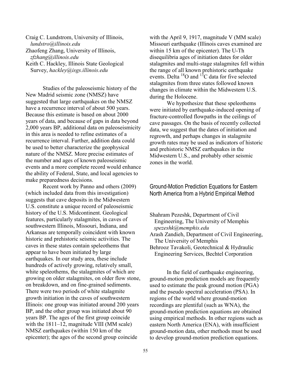Craig C. Lundstrom, University of Illinois, *[lundstro@illinois.edu](mailto:lundstro@illinois.edu)* Zhaofeng Zhang, University of Illinois, *[zfzhang@illinois.edu](mailto:zfzhang@illinois.edu)* Keith C. Hackley, Illinois State Geological Survey, *[hackley@isgs.illinois.edu](mailto:hackley@isgs.illinois.edu)*

Studies of the paleoseismic history of the New Madrid seismic zone (NMSZ) have suggested that large earthquakes on the NMSZ have a recurrence interval of about 500 years. Because this estimate is based on about 2000 years of data, and because of gaps in data beyond 2,000 years BP, additional data on paleoseismicity in this area is needed to refine estimates of a recurrence interval. Further, addition data could be used to better characterize the geophysical nature of the NMSZ. More precise estimates of the number and ages of known paleoseismic events and a more complete record would enhance the ability of Federal, State, and local agencies to make preparedness decisions.

Recent work by Panno and others (2009) (which included data from this investigation) suggests that cave deposits in the Midwestern U.S. constitute a unique record of paleoseismic history of the U.S. Midcontinent. Geological features, particularly stalagmites, in caves of southwestern Illinois, Missouri, Indiana, and Arkansas are temporally coincident with known historic and prehistoric seismic activities. The caves in these states contain speleothems that appear to have been initiated by large earthquakes. In our study area, these include hundreds of actively growing, relatively small, white speleothems, the stalagmites of which are growing on older stalagmites, on older flow stone, on breakdown, and on fine-grained sediments. There were two periods of white stalagmite growth initiation in the caves of southwestern Illinois: one group was initiated around 200 years BP, and the other group was initiated about 90 years BP. The ages of the first group coincide with the 1811–12, magnitude VIII (MM scale) NMSZ earthquakes (within 150 km of the epicenter); the ages of the second group coincide

with the April 9, 1917, magnitude V (MM scale) Missouri earthquake (Illinois caves examined are within 15 km of the epicenter). The U-Th disequilibria ages of initiation dates for older stalagmites and multi-stage stalagmites fell within the range of all known prehistoric earthquake events. Delta  ${}^{18}$ O and  ${}^{13}$ C data for five selected stalagmites from three states followed known changes in climate within the Midwestern U.S. during the Holocene.

We hypothesize that these speleothems were initiated by earthquake-induced opening of fracture-controlled flowpaths in the ceilings of cave passages. On the basis of recently collected data, we suggest that the dates of initiation and regrowth, and perhaps changes in stalagmite growth rates may be used as indicators of historic and prehistoric NMSZ earthquakes in the Midwestern U.S., and probably other seismic zones in the world.

Ground-Motion Prediction Equations for Eastern North America from a Hybrid Empirical Method

Shahram Pezeshk, Department of Civil Engineering, The University of Memphis *spezeshk@memphis.edu* 

Arash Zandieh, Department of Civil Engineering, The University of Memphis

Behrooz Tavakoli, Geotechnical & Hydraulic Engineering Services, Bechtel Corporation

In the field of earthquake engineering, ground-motion prediction models are frequently used to estimate the peak ground motion (PGA) and the pseudo spectral acceleration (PSA). In regions of the world where ground-motion recordings are plentiful (such as WNA), the ground-motion prediction equations are obtained using empirical methods. In other regions such as eastern North America (ENA), with insufficient ground-motion data, other methods must be used to develop ground-motion prediction equations.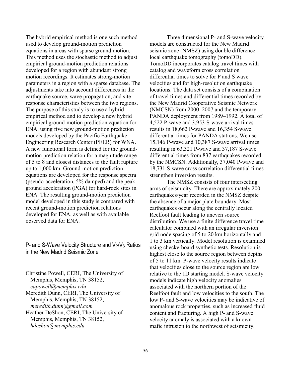The hybrid empirical method is one such method used to develop ground-motion prediction equations in areas with sparse ground motion. This method uses the stochastic method to adjust empirical ground-motion prediction relations developed for a region with abundant strong motion recordings. It estimates strong-motion parameters in a region with a sparse database. The adjustments take into account differences in the earthquake source, wave propagation, and siteresponse characteristics between the two regions. The purpose of this study is to use a hybrid empirical method and to develop a new hybrid empirical ground-motion prediction equation for ENA, using five new ground-motion prediction models developed by the Pacific Earthquake Engineering Research Center (PEER) for WNA. A new functional form is defined for the groundmotion prediction relation for a magnitude range of 5 to 8 and closest distances to the fault rupture up to 1,000 km. Ground-motion prediction equations are developed for the response spectra (pseudo-acceleration, 5% damped) and the peak ground acceleration (PGA) for hard-rock sites in ENA. The resulting ground-motion prediction model developed in this study is compared with recent ground-motion prediction relations developed for ENA, as well as with available observed data for ENA.

P- and S-Wave Velocity Structure and V<sub>P</sub>/V<sub>S</sub> Ratios in the New Madrid Seismic Zone

Christine Powell, CERI, The University of Memphis, Memphis, TN 38152, *capowell@memphis.edu* Meredith Dunn, CERI, The University of Memphis, Memphis, TN 38152, *meredith.dunn@gmail.com* Heather DeShon, CERI, The University of Memphis, Memphis, TN 38152,

*hdeshon@memphis.edu*

Three dimensional P- and S-wave velocity models are constructed for the New Madrid seismic zone (NMSZ) using double difference local earthquake tomography (tomoDD). TomoDD incorporates catalog travel times with catalog and waveform cross correlation differential times to solve for P and S wave velocities and for high-resolution earthquake locations. The data set consists of a combination of travel times and differential times recorded by the New Madrid Cooperative Seismic Network (NMCSN) from 2000–2007 and the temporary PANDA deployment from 1989–1992. A total of 4,522 P-wave and 3,953 S-wave arrival times results in 18,662 P-wave and 16,354 S-wave differential times for PANDA stations. We use 15,146 P-wave and 10,387 S-wave arrival times resulting in 63,321 P-wave and 37,187 S-wave differential times from 837 earthquakes recorded by the NMCSN. Additionally, 37,040 P-wave and 18,731 S-wave cross correlation differential times strengthen inversion results.

The NMSZ consists of four intersecting arms of seismicity. There are approximately 200 earthquakes/year recorded in the NMSZ despite the absence of a major plate boundary. Most earthquakes occur along the centrally located Reelfoot fault leading to uneven source distribution. We use a finite difference travel time calculator combined with an irregular inversion grid node spacing of 5 to 20 km horizontally and 1 to 3 km vertically. Model resolution is examined using checkerboard synthetic tests. Resolution is highest close to the source region between depths of 5 to 11 km. P-wave velocity results indicate that velocities close to the source region are low relative to the 1D starting model. S-wave velocity models indicate high velocity anomalies associated with the northern portion of the Reelfoot fault and low velocities to the south. The low P- and S-wave velocities may be indicative of anomalous rock properties, such as increased fluid content and fracturing. A high P- and S-wave velocity anomaly is associated with a known mafic intrusion to the northwest of seismicity.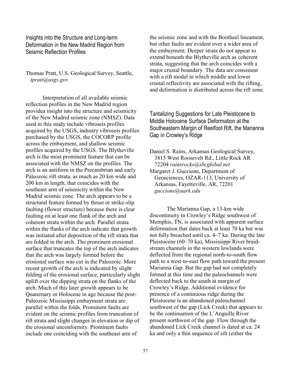Insights into the Structure and Long-term Deformation in the New Madrid Region from Seismic Reflection Profiles

Thomas Pratt, U.S. Geological Survey, Seattle, *[tpratt@usgs.gov](mailto:tpratt@usgs.gov)*

Interpretation of all available seismic reflection profiles in the New Madrid region provides insight into the structure and seismicity of the New Madrid seismic zone (NMSZ). Data used in this study include vibroseis profiles acquired by the USGS, industry vibroseis profiles purchased by the USGS, the COCORP profile across the embayment, and shallow seismic profiles acquired by the USGS. The Blytheville arch is the most prominent feature that can be associated with the NMSZ on the profiles. The arch is an antiform in the Precambrian and early Paleozoic rift strata, as much as 20 km wide and 200 km in length, that coincides with the southeast arm of seismicity within the New Madrid seismic zone. The arch appears to be a structural feature formed by thrust or strike-slip faulting (flower structure) because there is clear faulting on at least one flank of the arch and coherent strata within the arch. Parallel strata within the flanks of the arch indicate that growth was initiated after deposition of the rift strata that are folded in the arch. The prominent erosional surface that truncates the top of the arch indicates that the arch was largely formed before the erosional surface was cut in the Paleozoic. More recent growth of the arch is indicated by slight folding of the erosional surface, particularly slight uplift over the dipping strata on the flanks of the arch. Much of this later growth appears to be Quaternary or Holocene in age because the post-Paleozoic Mississippi embayment strata are parallel within the folds. Prominent faults are evident on the seismic profiles from truncation of rift strata and slight changes in elevation or dip of the erosional unconformity. Prominent faults include one coinciding with the southeast arm of

the seismic zone and with the Bootheel lineament, but other faults are evident over a wider area of the embayment. Deeper strata do not appear to extend beneath the Blytheville arch as coherent strata, suggesting that the arch coincides with a major crustal boundary. The data are consistent with a rift model in which middle and lower crustal reflectivity are associated with the rifting, and deformation is distributed across the rift zone.

Tantalizing Suggestions for Late Pleistocene to Middle Holocene Surface Deformation at the Southeastern Margin of Reelfoot Rift, the Marianna Gap in Crowley's Ridge

Daniel S. Rains, Arkansas Geological Survey, 3815 West Roosevelt Rd., Little Rock AR 72204 *[rainsrocks@sbcglobal.net](mailto:rainsrocks@sbcglobal.net)* Margaret J. Guccione, Department of Geosciences, OZAR-113, University of Arkansas, Fayetteville, AR, 72201 *guccione@uark.edu*

The Marianna Gap, a 13-km wide discontinuity in Crowley's Ridge southwest of Memphis, TN, is associated with apparent surface deformation that dates back at least 70 ka but was not fully breached until ca. 4–7 ka. During the late Pleistocene (60–70 ka), Mississippi River braidstream channels in the western lowlands were deflected from the regional north-to-south flow path to a west-to-east flow path toward the present Marianna Gap. But the gap had not completely formed at this time and the paleochannels were deflected back to the south at margin of Crowley's Ridge. Additional evidence for presence of a continuous ridge during the Pleistocene is an abandoned paleochannel southwest of the gap (Lick Creek) that appears to be the continuation of the L'Anguille River present northwest of the gap. Flow through the abandoned Lick Creek channel is dated at ca. 24 ka and only a thin sequence of silt (either the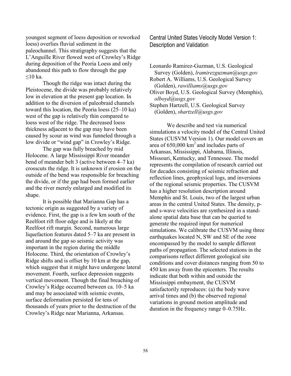youngest segment of loess deposition or reworked loess) overlies fluvial sediment in the paleochannel. This stratigraphy suggests that the L'Anguille River flowed west of Crowley's Ridge during deposition of the Peoria Loess and only abandoned this path to flow through the gap  $10$  ka.

Though the ridge was intact during the Pleistocene, the divide was probably relatively low in elevation at the present gap location. In addition to the diversion of paleobraid channels toward this location, the Peoria loess (25–10 ka) west of the gap is relatively thin compared to loess west of the ridge. The decreased loess thickness adjacent to the gap may have been caused by scour as wind was funneled through a low divide or "wind gap" in Crowley's Ridge.

The gap was fully breached by mid Holocene. A large Mississippi River meander bend of meander belt 3 (active between 4–7 ka) crosscuts the ridge. It is unknown if erosion on the outside of the bend was responsible for breaching the divide, or if the gap had been formed earlier and the river merely enlarged and modified its shape.

It is possible that Marianna Gap has a tectonic origin as suggested by a variety of evidence. First, the gap is a few km south of the Reelfoot rift floor edge and is likely at the Reelfoot rift margin. Second, numerous large liquefaction features dated 5–7 ka are present in and around the gap so seismic activity was important in the region during the middle Holocene. Third, the orientation of Crowley's Ridge shifts and is offset by 10 km at the gap, which suggest that it might have undergone lateral movement. Fourth, surface depression suggests vertical movement. Though the final breaching of Crowley's Ridge occurred between ca. 10–5 ka and may be associated with seismic events, surface deformation persisted for tens of thousands of years prior to the destruction of the Crowley's Ridge near Marianna, Arkansas.

Central United States Velocity Model Version 1: Description and Validation

- Leonardo Ramirez-Guzman, U.S. Geological Survey (Golden), *lramirezguzman@usgs.gov*
- Robert A. Williams, U.S. Geological Survey (Golden), *rawilliams@usgs.gov*

Oliver Boyd, U.S. Geological Survey (Memphis), *olboyd@usgs.gov*

Stephen Hartzell, U.S. Geological Survey (Golden), *shartzell@usgs.gov*

We describe and test via numerical simulations a velocity model of the Central United States (CUSVM Version 1). Our model covers an area of  $650,000 \text{ km}^2$  and includes parts of Arkansas, Mississippi, Alabama, Illinois, Missouri, Kentucky, and Tennessee. The model represents the compilation of research carried out for decades consisting of seismic refraction and reflection lines, geophysical logs, and inversions of the regional seismic properties. The CUSVM has a higher resolution description around Memphis and St. Louis, two of the largest urban areas in the central United States. The density, pand s-wave velocities are synthesized in a standalone spatial data base that can be queried to generate the required input for numerical simulations. We calibrate the CUSVM using three earthquakes located N, SW and SE of the zone encompassed by the model to sample different paths of propagation. The selected stations in the comparisons reflect different geological site conditions and cover distances ranging from 50 to 450 km away from the epicenters. The results indicate that both within and outside the Mississippi embayment, the CUSVM satisfactorily reproduces: (a) the body wave arrival times and (b) the observed regional variations in ground motion amplitude and duration in the frequency range 0–0.75Hz.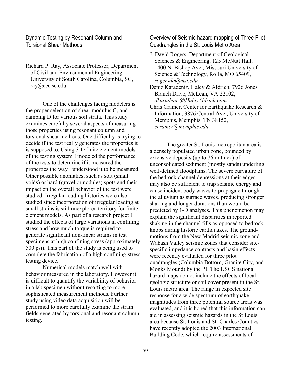Dynamic Testing by Resonant Column and Torsional Shear Methods

Richard P. Ray, Associate Professor, Department of Civil and Environmental Engineering, University of South Carolina, Columbia, SC, ray@cec.sc.edu

One of the challenges facing modelers is the proper selection of shear modulus G, and damping D for various soil strata. This study examines carefully several aspects of measuring those properties using resonant column and torsional shear methods. One difficulty is trying to decide if the test really generates the properties it is supposed to. Using 3-D finite element models of the testing system I modeled the performance of the tests to determine if it measured the properties the way I understood it to be measured. Other possible anomalies, such as soft (small voids) or hard (gravel or nodules) spots and their impact on the overall behavior of the test were studied. Irregular loading histories were also studied since incorporation of irregular loading at small strains is still unexplored territory for finite element models. As part of a research project I studied the effects of large variations in confining stress and how much torque is required to generate significant non-linear strains in test specimens at high confining stress (approximately 500 psi). This part of the study is being used to complete the fabrication of a high confining-stress testing device.

Numerical models match well with behavior measured in the laboratory. However it is difficult to quantify the variability of behavior in a lab specimen without resorting to more sophisticated measurement methods. Further study using video data acquisition will be performed to more carefully examine the strain fields generated by torsional and resonant column testing.

Overview of Seismic-hazard mapping of Three Pilot Quadrangles in the St. Louis Metro Area

- J. David Rogers, Department of Geological Sciences & Engineering, 125 McNutt Hall, 1400 N. Bishop Ave., Missouri University of Science & Technology, Rolla, MO 65409, *rogersda@mst.edu*
- Deniz Karadeniz, Haley & Aldrich, 7926 Jones Branch Drive, McLean, VA 22102, *dkaradeniz@HaleyAldrich.com*
- Chris Cramer, Center for Earthquake Research & Information, 3876 Central Ave., University of Memphis, Memphis, TN 38152, *ccramer@memphis.edu*

The greater St. Louis metropolitan area is a densely populated urban zone, bounded by extensive deposits (up to 76 m thick) of unconsolidated sediment (mostly sands) underling well-defined floodplains. The severe curvature of the bedrock channel depressions at their edges may also be sufficient to trap seismic energy and cause incident body waves to propagate through the alluvium as surface waves, producing stronger shaking and longer durations than would be predicted by 1-D analyses. This phenomenon may explain the significant disparities in reported shaking in the channel fills as opposed to bedrock knobs during historic earthquakes. The groundmotions from the New Madrid seismic zone and Wabash Valley seismic zones that consider sitespecific impedance contrasts and basin effects were recently evaluated for three pilot quadrangles (Columbia Bottom, Granite City, and Monks Mound) by the PI. The USGS national hazard maps do not include the effects of local geologic structure or soil cover present in the St. Louis metro area. The range in expected site response for a wide spectrum of earthquake magnitudes from three potential source areas was evaluated, and it is hoped that this information can aid in assessing seismic hazards in the St Louis area because St. Louis and St. Charles Counties have recently adopted the 2003 International Building Code, which require assessments of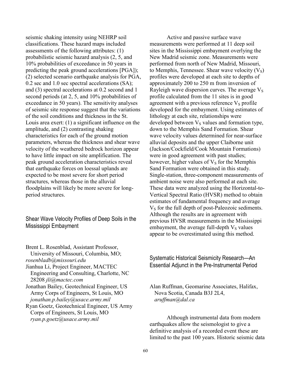seismic shaking intensity using NEHRP soil classifications. These hazard maps included assessments of the following attributes: (1) probabilistic seismic hazard analysis (2, 5, and 10% probabilities of exceedance in 50 years in predicting the peak ground accelerations [PGA]); (2) selected scenario earthquake analysis for PGA, 0.2 sec and 1.0 sec spectral accelerations (SA); and (3) spectral accelerations at 0.2 second and 1 second periods (at 2, 5, and 10% probabilities of exceedance in 50 years). The sensitivity analyses of seismic site response suggest that the variations of the soil conditions and thickness in the St. Louis area exert: (1) a significant influence on the amplitude, and (2) contrasting shaking characteristics for each of the ground motion parameters, whereas the thickness and shear wave velocity of the weathered bedrock horizon appear to have little impact on site amplification. The peak ground acceleration characteristics reveal that earthquake forces on loessal uplands are expected to be most severe for short period structures, whereas those in the alluvial floodplains will likely be more severe for longperiod structures.

Shear Wave Velocity Profiles of Deep Soils in the Mississippi Embayment

Brent L. Rosenblad, Assistant Professor, University of Missouri, Columbia, MO; *[rosenbladb@missouri.edu](mailto:rosenbladb@missouri.edu)* Jianhua Li, Project Engineer, MACTEC Engineering and Consulting, Charlotte, NC 28208 *[jli@mactec.com](mailto:jli@mactec.com)* Jonathan Bailey, Geotechnical Engineer, US Army Corps of Engineers, St Louis, MO *[jonathan.p.bailey@usace.army.mil](mailto:jonathan.p.bailey@usace.army.mil)* Ryan Goetz, Geotechnical Engineer, US Army Corps of Engineers, St Louis, MO *[ryan.p.goetz@usace.army.mil](mailto:ryan.p.goetz@usace.army.mil)*

Active and passive surface wave measurements were performed at 11 deep soil sites in the Mississippi embayment overlying the New Madrid seismic zone. Measurements were performed from north of New Madrid, Missouri, to Memphis, Tennessee. Shear wave velocity  $(V<sub>S</sub>)$ profiles were developed at each site to depths of approximately 200 to 250 m from inversion of Rayleigh wave dispersion curves. The average  $V<sub>S</sub>$ profile calculated from the 11 sites is in good agreement with a previous reference  $V<sub>S</sub>$  profile developed for the embayment. Using estimates of lithology at each site, relationships were developed between  $V<sub>S</sub>$  values and formation type, down to the Memphis Sand Formation. Shear wave velocity values determined for near-surface alluvial deposits and the upper Claiborne unit (Jackson/Cockfield/Cook Mountain Formations) were in good agreement with past studies; however, higher values of  $V<sub>S</sub>$  for the Memphis Sand Formation were obtained in this study. Single-station, three-component measurements of ambient noise were also performed at each site. These data were analyzed using the Horizontal-to-Vertical Spectral Ratio (HVSR) method to obtain estimates of fundamental frequency and average  $V<sub>S</sub>$  for the full depth of post-Paleozoic sediments. Although the results are in agreement with previous HVSR measurements in the Mississippi embayment, the average full-depth  $V<sub>S</sub>$  values appear to be overestimated using this method.

Systematic Historical Seismicity Research—An Essential Adjunct in the Pre-Instrumental Period

Alan Ruffman, Geomarine Associates, Halifax, Nova Scotia, Canada B3J 2L4, *aruffman@dal.ca*

Although instrumental data from modern earthquakes allow the seismologist to give a definitive analysis of a recorded event these are limited to the past 100 years. Historic seismic data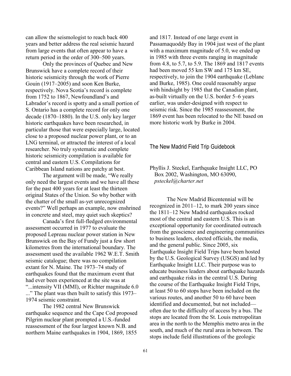can allow the seismologist to reach back 400 years and better address the real seismic hazard from large events that often appear to have a return period in the order of 300–500 years.

Only the provinces of Quebec and New Brunswick have a complete record of their historic seismicity through the work of Pierre Gouin (1917–2005) and soon Ken Burke, respectively. Nova Scotia's record is complete from 1752 to 1867, Newfoundland's and Labrador's record is spotty and a small portion of S. Ontario has a complete record for only one decade (1870–1880). In the U.S. only key larger historic earthquakes have been researched, in particular those that were especially large, located close to a proposed nuclear power plant, or to an LNG terminal, or attracted the interest of a local researcher. No truly systematic and complete historic seismicity compilation is available for central and eastern U.S. Compilations for Caribbean Island nations are patchy at best.

The argument will be made, "We really only need the largest events and we have all these for the past 400 years for at least the thirteen original States of the Union. So why bother with the chatter of the small as-yet unrecognized events?" Well perhaps an example, now enshrined in concrete and steel, may quiet such skeptics?

Canada's first full-fledged environmental assessment occurred in 1977 to evaluate the proposed Lepreau nuclear power station in New Brunswick on the Bay of Fundy just a few short kilometres from the international boundary. The assessment used the available 1962 W.E.T. Smith seismic catalogue; there was no compilation extant for N. Maine. The 1973–74 study of earthquakes found that the maximum event that had ever been experienced at the site was at "...intensity VII (MMI), or Richter magnitude 6.0 ..." The plant was then built to satisfy this 1973– 1974 seismic constraint.

The 1982 central New Brunswick earthquake sequence and the Cape Cod proposed Pilgrim nuclear plant prompted a U.S.-funded reassessment of the four largest known N.B. and northern Maine earthquakes in 1904, 1869, 1855

and 1817. Instead of one large event in Passamaquoddy Bay in 1904 just west of the plant with a maximum magnitude of 5.0, we ended up in 1985 with three events ranging in magnitude from 4.8, to 5.7, to 5.9. The 1869 and 1817 events had been moved 55 km SW and 175 km SE, respectively, to join the 1904 earthquake (Leblanc and Burke, 1985). One could reasonably argue with hindsight by 1985 that the Canadian plant, as-built virtually on the U.S. border 5–6 years earlier, was under-designed with respect to seismic risk. Since the 1985 reassessment, the 1869 event has been relocated to the NE based on more historic work by Burke in 2004.

The New Madrid Field Trip Guidebook

Phyllis J. Steckel, Earthquake Insight LLC, PO Box 2002, Washington, MO 63090, *[psteckel@charter.net](mailto:psteckel@charter.net)*

The New Madrid Bicentennial will be recognized in 2011–12, to mark 200 years since the 1811–12 New Madrid earthquakes rocked most of the central and eastern U.S. This is an exceptional opportunity for coordinated outreach from the geoscience and engineering communities to business leaders, elected officials, the media, and the general public. Since 2005, six Earthquake Insight Field Trips have been hosted by the U.S. Geological Survey (USGS) and led by Earthquake Insight LLC. Their purpose was to educate business leaders about earthquake hazards and earthquake risks in the central U.S. During the course of the Earthquake Insight Field Trips, at least 50 to 60 stops have been included on the various routes, and another 50 to 60 have been identified and documented, but not included often due to the difficulty of access by a bus. The stops are located from the St. Louis metropolitan area in the north to the Memphis metro area in the south, and much of the rural area in between. The stops include field illustrations of the geologic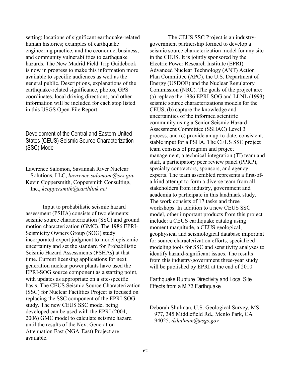setting; locations of significant earthquake-related human histories; examples of earthquake engineering practice; and the economic, business, and community vulnerabilities to earthquake hazards. The New Madrid Field Trip Guidebook is now in progress to make this information more available to specific audiences as well as the general public. Descriptions, explanations of the earthquake-related significance, photos, GPS coordinates, local driving directions, and other information will be included for each stop listed in this USGS Open-File Report.

Development of the Central and Eastern United States (CEUS) Seismic Source Characterization (SSC) Model

Lawrence Salomon, Savannah River Nuclear Solutions, LLC, *[lawrence.salomone@srs.gov](mailto:lawrence.salomone@srs.gov)* Kevin Coppersmith, Coppersmith Consulting, Inc., *[kcoppersmith@earthlink.net](mailto:kcoppersmith@earthlink.net)*

Input to probabilistic seismic hazard assessment (PSHA) consists of two elements: seismic source characterization (SSC) and ground motion characterization (GMC). The 1986 EPRI-Seismicity Owners Group (SOG) study incorporated expert judgment to model epistemic uncertainty and set the standard for Probabilistic Seismic Hazard Assessments (PSHAs) at that time. Current licensing applications for next generation nuclear power plants have used the EPRI-SOG source component as a starting point, with updates as appropriate on a site-specific basis. The CEUS Seismic Source Characterization (SSC) for Nuclear Facilities Project is focused on replacing the SSC component of the EPRI-SOG study. The new CEUS SSC model being developed can be used with the EPRI (2004, 2006) GMC model to calculate seismic hazard until the results of the Next Generation Attenuation East (NGA-East) Project are available.

 The CEUS SSC Project is an industrygovernment partnership formed to develop a seismic source characterization model for any site in the CEUS. It is jointly sponsored by the Electric Power Research Institute (EPRI) Advanced Nuclear Technology (ANT) Action Plan Committee (APC), the U.S. Department of Energy (USDOE) and the Nuclear Regulatory Commission (NRC). The goals of the project are: (a) replace the 1986 EPRI-SOG and LLNL (1993) seismic source characterizations models for the CEUS, (b) capture the knowledge and uncertainties of the informed scientific community using a Senior Seismic Hazard Assessment Committee (SSHAC) Level 3 process, and (c) provide an up-to-date, consistent, stable input for a PSHA. The CEUS SSC project team consists of program and project management, a technical integration (TI) team and staff, a participatory peer review panel (PPRP), specialty contractors, sponsors, and agency experts. The team assembled represents a first-ofa-kind attempt to form a diverse team from all stakeholders from industry, government and academia to participate in this landmark study. The work consists of 17 tasks and three workshops. In addition to a new CEUS SSC model, other important products from this project include: a CEUS earthquake catalog using moment magnitude, a CEUS geological, geophysical and seismological database important for source characterization efforts, specialized modeling tools for SSC and sensitivity analyses to identify hazard-significant issues. The results from this industry-government three-year study will be published by EPRI at the end of 2010.

Earthquake Rupture Directivity and Local Site Effects from a M.73 Earthquake

Deborah Shulman, U.S. Geological Survey, MS 977, 345 Middlefield Rd., Menlo Park, CA 94025, *dshulman@usgs.gov*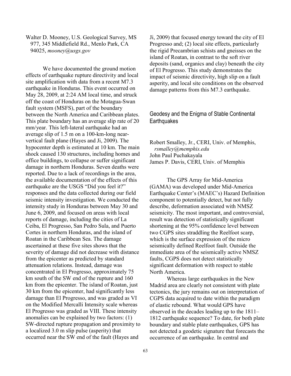### Walter D. Mooney, U.S. Geological Survey, MS 977, 345 Middlefield Rd., Menlo Park, CA 94025, *mooney@usgs.gov*

We have documented the ground motion effects of earthquake rupture directivity and local site amplification with data from a recent M7.3 earthquake in Honduras. This event occurred on May 28, 2009, at 2:24 AM local time, and struck off the coast of Honduras on the Motagua-Swan fault system (MSFS), part of the boundary between the North America and Caribbean plates. This plate boundary has an average slip rate of 20 mm/year. This left-lateral earthquake had an average slip of 1.5 m on a 100-km-long nearvertical fault plane (Hayes and Ji, 2009). The hypocenter depth is estimated at 10 km. The main shock caused 130 structures, including homes and office buildings, to collapse or suffer significant damage in northern Honduras. Seven deaths were reported. Due to a lack of recordings in the area, the available documentation of the effects of this earthquake are the USGS "Did you feel it?" responses and the data collected during our field seismic intensity investigation. We conducted the intensity study in Honduras between May 30 and June 6, 2009, and focused on areas with local reports of damage, including the cities of La Ceiba, El Progresso, San Pedro Sula, and Puerto Cortes in northern Honduras, and the island of Roatan in the Caribbean Sea. The damage ascertained at these five sites shows that the severity of damage did not decrease with distance from the epicenter as predicted by standard attenuation relations. Instead, damage was concentrated in El Progresso, approximately 75 km south of the SW end of the rupture and 160 km from the epicenter. The island of Roatan, just 30 km from the epicenter, had significantly less damage than El Progresso, and was graded as VI on the Modified Mercalli Intensity scale whereas El Progresso was graded as VIII. These intensity anomalies can be explained by two factors: (1) SW-directed rupture propagation and proximity to a localized 3.0 m slip pulse (asperity) that occurred near the SW end of the fault (Hayes and

Ji, 2009) that focused energy toward the city of El Progresso and; (2) local site effects, particularly the rigid Precambrian schists and gneisses on the island of Roatan, in contrast to the soft river deposits (sand, organics and clay) beneath the city of El Progresso. This study demonstrates the impact of seismic directivity, high slip on a fault asperity, and local site conditions on the observed damage patterns from this M7.3 earthquake.

## Geodesy and the Enigma of Stable Continental **Earthquakes**

Robert Smalley, Jr., CERI, Univ. of Memphis, *rsmalley@memphis.edu* John Paul Puchakayala James P. Davis, CERI, Univ. of Memphis

The GPS Array for Mid-America (GAMA) was developed under Mid-America Earthquake Center's (MAEC's) Hazard Definition component to potentially detect, but not fully describe, deformation associated with NMSZ seismicity. The most important, and controversial, result was detection of statistically significant shortening at the 95% confidence level between two CGPS sites straddling the Reelfoot scarp, which is the surface expression of the micro seismically defined Reelfoot fault. Outside the immediate area of the seismically active NMSZ faults, CGPS does not detect statistically significant deformation with respect to stable North America.

Whereas large earthquakes in the New Madrid area are clearly not consistent with plate tectonics, the jury remains out on interpretation of CGPS data acquired to date within the paradigm of elastic rebound. What would GPS have observed in the decades leading up to the 1811– 1812 earthquake sequence? To date, for both plate boundary and stable plate earthquakes, GPS has not detected a geodetic signature that forecasts the occurrence of an earthquake. In central and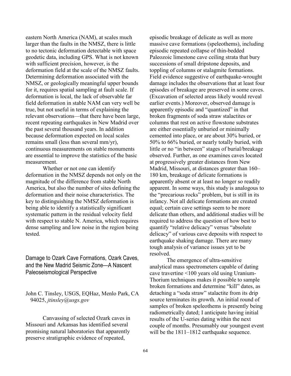eastern North America (NAM), at scales much larger than the faults in the NMSZ, there is little to no tectonic deformation detectable with space geodetic data, including GPS. What is not known with sufficient precision, however, is the deformation field at the scale of the NMSZ faults. Determining deformation associated with the NMSZ, or geologically meaningful upper bounds for it, requires spatial sampling at fault scale. If deformation is local, the lack of observable far field deformation in stable NAM can very well be true, but not useful in terms of explaining the relevant observations—that there have been large, recent repeating earthquakes in New Madrid over the past several thousand years. In addition because deformation expected on local scales remains small (less than several mm/yr), continuous measurements on stable monuments are essential to improve the statistics of the basic measurement.

Whether or not one can identify deformation in the NMSZ depends not only on the magnitude of the difference from stable North America, but also the number of sites defining the deformation and their noise characteristics. The key to distinguishing the NMSZ deformation is being able to identify a statistically significant systematic pattern in the residual velocity field with respect to stable N. America, which requires dense sampling and low noise in the region being tested.

Damage to Ozark Cave Formations, Ozark Caves, and the New Madrid Seismic Zone—A Nascent Paleoseismological Perspective

John C. Tinsley, USGS, EQHaz, Menlo Park, CA 94025, *[jtinsley@usgs.gov](mailto:jtinsley@usgs.gov)*

Canvassing of selected Ozark caves in Missouri and Arkansas has identified several promising natural laboratories that apparently preserve stratigraphic evidence of repeated,

episodic breakage of delicate as well as more massive cave formations (speleothems), including episodic repeated collapse of thin-bedded Paleozoic limestone cave ceiling strata that bury successions of small dripstone deposits, and toppling of columns or stalagmite formations. Field evidence suggestive of earthquake-wrought damage includes the observations that at least four episodes of breakage are preserved in some caves. (Excavation of selected areas likely would reveal earlier events.) Moreover, observed damage is apparently episodic and "quantized" in that broken fragments of soda straw stalactites or columns that rest on active flowstone substrates are either essentially unburied or minimally cemented into place, or are about 30% buried, or 50% to 66% buried, or nearly totally buried, with little or no "in between" stages of burial/breakage observed. Further, as one examines caves located at progressively greater distances from New Madrid, Missouri, at distances greater than 160– 180 km, breakage of delicate formations is apparently absent or at least no longer so readily apparent. In some ways, this study is analogous to the "precarious rocks" problem, but is still in its infancy. Not all delicate formations are created equal; certain cave settings seem to be more delicate than others, and additional studies will be required to address the question of how best to quantify "relative delicacy" versus "absolute delicacy" of various cave deposits with respect to earthquake shaking damage. There are many tough analysis of variance issues yet to be resolved.

The emergence of ultra-sensitive analytical mass spectrometers capable of dating cave travertine <100 years old using Uranium-Thorium techniques makes it possible to sample broken formations and determine "kill" dates, as detaching a "soda straw" stalactite from its drip source terminates its growth. An initial round of samples of broken speleothems is presently being radiometrically dated; I anticipate having initial results of the U-series dating within the next couple of months. Presumably our youngest event will be the 1811–1812 earthquake sequence.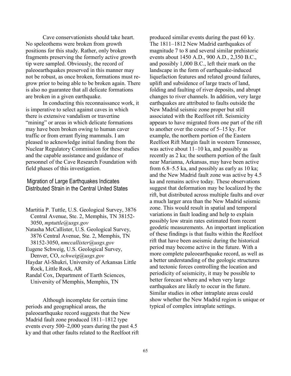Cave conservationists should take heart. No speleothems were broken from growth positions for this study. Rather, only broken fragments preserving the formerly active growth tip were sampled. Obviously, the record of paleoearthquakes preserved in this manner may not be robust, as once broken, formations must regrow prior to being able to be broken again. There is also no guarantee that all delicate formations are broken in a given earthquake.

In conducting this reconnaissance work, it is imperative to select against caves in which there is extensive vandalism or travertine "mining" or areas in which delicate formations" may have been broken owing to human caver traffic or from errant flying mammals. I am pleased to acknowledge initial funding from the Nuclear Regulatory Commission for these studies and the capable assistance and guidance of personnel of the Cave Research Foundation with field phases of this investigation.

Migration of Large Earthquakes Indicates Distributed Strain in the Central United States

Martitia P. Tuttle, U.S. Geological Survey, 3876 Central Avenue, Ste. 2, Memphis, TN 38152- 3050, *mptuttle@usgs.gov*

Natasha McCallister, U.S. Geological Survey, 3876 Central Avenue, Ste. 2, Memphis, TN 38152-3050, *nmccallister@usgs.gov*

Eugene Schweig, U.S. Geological Survey, Denver, CO, *schweig@usgs.gov*

Haydar Al-Shukri, University of Arkansas Little Rock, Little Rock, AR

Randal Cox, Department of Earth Sciences, University of Memphis, Memphis, TN

Although incomplete for certain time periods and geographical areas, the paleoearthquake record suggests that the New Madrid fault zone produced 1811–1812 type events every 500–2,000 years during the past 4.5 ky and that other faults related to the Reelfoot rift produced similar events during the past 60 ky. The 1811–1812 New Madrid earthquakes of magnitude 7 to 8 and several similar prehistoric events about 1450 A.D., 900 A.D., 2,350 B.C., and possibly 1,000 B.C., left their mark on the landscape in the form of earthquake-induced liquefaction features and related ground failures, uplift and subsidence of large tracts of land, folding and faulting of river deposits, and abrupt changes to river channels. In addition, very large earthquakes are attributed to faults outside the New Madrid seismic zone proper but still associated with the Reelfoot rift. Seismicity appears to have migrated from one part of the rift to another over the course of 5–15 ky. For example, the northern portion of the Eastern Reelfoot Rift Margin fault in western Tennessee, was active about 11–10 ka, and possibly as recently as 2 ka; the southern portion of the fault near Marianna, Arkansas, may have been active from 6.8–5.5 ka, and possibly as early as 10 ka; and the New Madrid fault zone was active by 4.5 ka and remains active today. These observations suggest that deformation may be localized by the rift, but distributed across multiple faults and over a much larger area than the New Madrid seismic zone. This would result in spatial and temporal variations in fault loading and help to explain possibly low strain rates estimated from recent geodetic measurements. An important implication of these findings is that faults within the Reelfoot rift that have been aseismic during the historical period may become active in the future. With a more complete paleoearthquake record, as well as a better understanding of the geologic structures and tectonic forces controlling the location and periodicity of seismicity, it may be possible to better forecast where and when very large earthquakes are likely to occur in the future. Similar studies in other intraplate areas could show whether the New Madrid region is unique or typical of complex intraplate settings.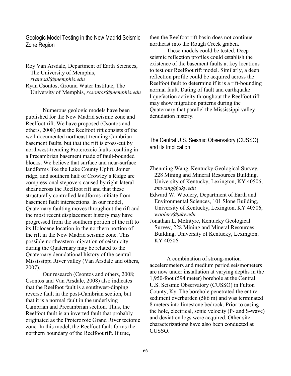Geologic Model Testing in the New Madrid Seismic Zone Region

Roy Van Arsdale, Department of Earth Sciences, The University of Memphis, *rvanrsdl@memphis.edu* Ryan Csontos, Ground Water Institute, The

University of Memphis, *rcsontos@memphis.edu*

Numerous geologic models have been published for the New Madrid seismic zone and Reelfoot rift. We have proposed (Csontos and others, 2008) that the Reelfoot rift consists of the well documented northeast-trending Cambrian basement faults, but that the rift is cross-cut by northwest-trending Proterozoic faults resulting in a Precambrian basement made of fault-bounded blocks. We believe that surface and near-surface landforms like the Lake County Uplift, Joiner ridge, and southern half of Crowley's Ridge are compressional stepovers caused by right-lateral shear across the Reelfoot rift and that these structurally controlled landforms initiate from basement fault intersections. In our model, Quaternary faulting moves throughout the rift and the most recent displacement history may have progressed from the southern portion of the rift to its Holocene location in the northern portion of the rift in the New Madrid seismic zone. This possible northeastern migration of seismicity during the Quaternary may be related to the Quaternary denudational history of the central Mississippi River valley (Van Arsdale and others, 2007).

Our research (Csontos and others, 2008; Csontos and Van Arsdale, 2008) also indicates that the Reelfoot fault is a southwest-dipping reverse fault in the post-Cambrian section, but that it is a normal fault in the underlying Cambrian and Precambrian section. Thus, the Reelfoot fault is an inverted fault that probably originated as the Proterozoic Grand River tectonic zone. In this model, the Reelfoot fault forms the northern boundary of the Reelfoot rift. If true,

then the Reelfoot rift basin does not continue northeast into the Rough Creek graben.

These models could be tested. Deep seismic reflection profiles could establish the existence of the basement faults at key locations to test our Reelfoot rift model. Similarly, a deep reflection profile could be acquired across the Reelfoot fault to determine if it is a rift-bounding normal fault. Dating of fault and earthquake liquefaction activity throughout the Reelfoot rift may show migration patterns during the Quaternary that parallel the Mississippi valley denudation history.

The Central U.S. Seismic Observatory (CUSSO) and its Implication

- Zhenming Wang, Kentucky Geological Survey, 228 Mining and Mineral Resources Building, University of Kentucky, Lexington, KY 40506, *[zmwang@uky.edu](mailto:zmwang@uky.edu)*
- Edward W. Woolery, Department of Earth and Environmental Sciences, 101 Slone Building, University of Kentucky, Lexington, KY 40506, *[woolery@uky.edu](mailto:woolery@uky.edu)*
- Jonathan L. McIntyre, Kentucky Geological Survey, 228 Mining and Mineral Resources Building, University of Kentucky, Lexington, KY 40506

A combination of strong-motion accelerometers and medium period seismometers are now under installation at varying depths in the 1,950-foot (594 meter) borehole at the Central U.S. Seismic Observatory (CUSSO) in Fulton County, Ky. The borehole penetrated the entire sediment overburden (586 m) and was terminated 8 meters into limestone bedrock. Prior to casing the hole, electrical, sonic velocity (P- and S-wave) and deviation logs were acquired. Other site characterizations have also been conducted at CUSSO.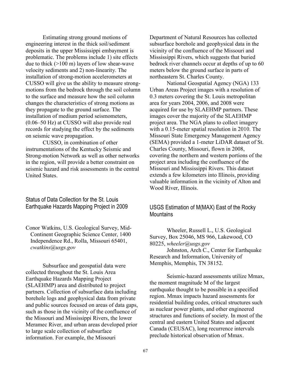Estimating strong ground motions of engineering interest in the thick soil/sediment deposits in the upper Mississippi embayment is problematic. The problems include 1) site effects due to thick  $(>100 \text{ m})$  layers of low shear-wave velocity sediments and 2) non-linearity. The installation of strong-motion accelerometers at CUSSO will give us the ability to measure strongmotions from the bedrock through the soil column to the surface and measure how the soil column changes the characteristics of strong motions as they propagate to the ground surface. The installation of medium period seismometers, (0.06–50 Hz) at CUSSO will also provide real records for studying the effect by the sediments on seismic wave propagation.

CUSSO, in combination of other instrumentations of the Kentucky Seismic and Strong-motion Network as well as other networks in the region, will provide a better constraint on seismic hazard and risk assessments in the central United States.

Status of Data Collection for the St. Louis Earthquake Hazards Mapping Project in 2009

Conor Watkins, U.S. Geological Survey, Mid-Continent Geographic Science Center, 1400 Independence Rd., Rolla, Missouri 65401, *[cwatkins@usgs.gov](mailto:cwatkins@usgs.gov)*

Subsurface and geospatial data were collected throughout the St. Louis Area Earthquake Hazards Mapping Project (SLAEHMP) area and distributed to project partners. Collection of subsurface data including borehole logs and geophysical data from private and public sources focused on areas of data gaps, such as those in the vicinity of the confluence of the Missouri and Mississippi Rivers, the lower Meramec River, and urban areas developed prior to large scale collection of subsurface information. For example, the Missouri

Department of Natural Resources has collected subsurface borehole and geophysical data in the vicinity of the confluence of the Missouri and Mississippi Rivers, which suggests that buried bedrock river channels occur at depths of up to 60 meters below the ground surface in parts of northeastern St. Charles County.

National Geospatial Agency (NGA) 133 Urban Areas Project images with a resolution of 0.3 meters covering the St. Louis metropolitan area for years 2004, 2006, and 2008 were acquired for use by SLAEHMP partners. These images cover the majority of the SLAEHMP project area. The NGA plans to collect imagery with a 0.15-meter spatial resolution in 2010. The Missouri State Emergency Management Agency (SEMA) provided a 1-meter LiDAR dataset of St. Charles County, Missouri, flown in 2008, covering the northern and western portions of the project area including the confluence of the Missouri and Mississippi Rivers. This dataset extends a few kilometers into Illinois, providing valuable information in the vicinity of Alton and Wood River, Illinois.

## USGS Estimation of M(MAX) East of the Rocky **Mountains**

Wheeler, Russell L., U.S. Geological Survey, Box 25046, MS 966, Lakewood, CO 80225, *wheeler@usgs.gov*

Johnston, Arch C., Center for Earthquake Research and Information, University of Memphis, Memphis, TN 38152.

Seismic-hazard assessments utilize Mmax, the moment magnitude M of the largest earthquake thought to be possible in a specified region. Mmax impacts hazard assessments for residential building codes, critical structures such as nuclear power plants, and other engineered structures and functions of society. In most of the central and eastern United States and adjacent Canada (CEUSAC), long recurrence intervals preclude historical observation of Mmax.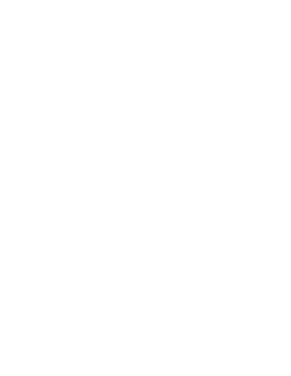Estimating strong ground motions of engineering interest in the thick soil/sediment deposits in the upper Mississippi embayment is problematic. The problems include 1) site effects due to thick  $(>100 \text{ m})$  layers of low shear-wave velocity sediments and 2) non-linearity. The installation of strong-motion accelerometers at CUSSO will give us the ability to measure strongmotions from the bedrock through the soil column to the surface and measure how the soil column changes the characteristics of strong motions as they propagate to the ground surface. The installation of medium period seismometers,  $(0.06-50 \text{ Hz})$  at CUSSO will also provide real records for studying the effect by the sediments on seismic wave propagation.

CUSSO, in combination of other instrumentations of the Kentucky Seismic and Strong-motion Network as well as other networks in the region, will provide a better constraint on seismic hazard and risk assessments in the central **United States.** 

Status of Data Collection for the St. Louis Earthquake Hazards Mapping Project in 2009

Conor Watkins, U.S. Geological Survey, Mid-Continent Geographic Science Center, 1400 Independence Rd., Rolla, Missouri 65401, cwatkins@usgs.gov

Subsurface and geospatial data were collected throughout the St. Louis Area Earthquake Hazards Mapping Project (SLAEHMP) area and distributed to project partners. Collection of subsurface data including borehole logs and geophysical data from private and public sources focused on areas of data gaps, such as those in the vicinity of the confluence of the Missouri and Mississippi Rivers, the lower Meramec River, and urban areas developed prior to large scale collection of subsurface information. For example, the Missouri

Department of Natural Resources has collected subsurface borehole and geophysical data in the vicinity of the confluence of the Missouri and Mississippi Rivers, which suggests that buried bedrock river channels occur at depths of up to 60 meters below the ground surface in parts of northeastern St. Charles County.

National Geospatial Agency (NGA) 133 Urban Areas Project images with a resolution of 0.3 meters covering the St. Louis metropolitan area for years 2004, 2006, and 2008 were acquired for use by SLAEHMP partners. These images cover the majority of the SLAEHMP project area. The NGA plans to collect imagery with a 0.15-meter spatial resolution in 2010. The Missouri State Emergency Management Agency (SEMA) provided a 1-meter LiDAR dataset of St. Charles County, Missouri, flown in 2008, covering the northern and western portions of the project area including the confluence of the Missouri and Mississippi Rivers. This dataset extends a few kilometers into Illinois, providing valuable information in the vicinity of Alton and Wood River, Illinois.

## USGS Estimation of M(MAX) East of the Rocky **Mountains**

Wheeler, Russell L., U.S. Geological Survey, Box 25046, MS 966, Lakewood, CO 80225, wheeler@usgs.gov

Johnston, Arch C., Center for Earthquake Research and Information, University of Memphis, Memphis, TN 38152.

Seismic-hazard assessments utilize Mmax, the moment magnitude M of the largest earthquake thought to be possible in a specified region. Mmax impacts hazard assessments for residential building codes, critical structures such as nuclear power plants, and other engineered structures and functions of society. In most of the central and eastern United States and adjacent Canada (CEUSAC), long recurrence intervals preclude historical observation of Mmax.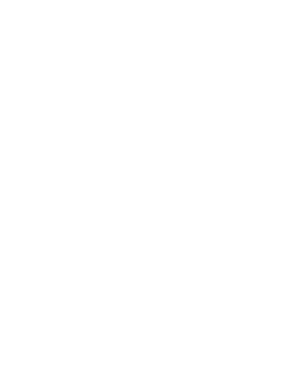Geologic odel Testing in the New adrid Seismic one egion

| Roy Van Arsdale, Department of Earth Sciences, |
|------------------------------------------------|
| The University of Memphis,                     |
| rvanrsdl@memphis.edu                           |
| Ryan Csontos, Ground Water Institute, The      |
| University of Memphis, rcsontos@memphis.edu    |

Numerous geologic models have been published for the New Madrid seismic zone and Reelfoot rift. We have proposed (Csontos and others, 2008) that the Reelfoot rift consists of the well documented northeast-trending Cambrian basement faults, but that the rift is cross-cut by northwest-trending Proterozoic faults resulting in a Precambrian basement made of fault-bounded blocks. We believe that surface and near-surface landforms like the Lake County Uplift, Joiner ridge, and southern half of Crowley's Ridge are compressional step overs caused by right-lateral shear across the Reelfoot rift and that these structurally controlled landforms initiate from basement fault intersections. In our model. Quaternary faulting moves throughout the rift and the most recent displacement history may have progressed from the southern portion of the rift to its Holocene location in the northern portion of the rift in the New Madrid seismic zone. This possible northeastern migration of seismicity during the Quaternary may be related to the Quaternary denudational history of the central Mississippi River valley (Van Arsdale and others,  $2007$ ).

Our research (Csontos and others, 2008; Csontos and Van Arsdale, 2008) also indicates that the Reelfoot fault is a southwest-dipping reverse fault in the post-Cambrian section, but that it is a normal fault in the underlying Cambrian and Precambrian section. Thus, the Reelfoot fault is an inverted fault that probably originated as the Proterozoic Grand River tectonic zone. In this model, the Reelfoot fault forms the northern boundary of the Reelfoot rift. If true,

then the Reelfoot rift basin does not continue northeast into the Rough Creek graben.

These models could be tested. Deep seismic reflection profiles could establish the existence of the basement faults at key locations to test our Reelfoot rift model. Similarly, a deep reflection profile could be acquired across the Reelfoot fault to determine if it is a rift-bounding normal fault. Dating of fault and earthquake liquefaction activity throughout the Reelfoot rift may show migration patterns during the Quaternary that parallel the Mississippi valley denudation history.

## The entral U.S. Seismicbservatory USS and its mplication

- Zhenming Wang, Kentucky Geological Survey, 228 Mining and Mineral Resources Building, University of Kentucky, Lexington, KY 40506, zmwang@uky.edu
- Edward W. Woolery, Department of Earth and Environmental Sciences, 101 Slone Building, University of Kentucky, Lexington, KY 40506, woolery@uky.edu
- Jonathan L. McIntyre, Kentucky Geological Survey, 228 Mining and Mineral Resources Building, University of Kentucky, Lexington, KY 40506

A combination of strong-motion accelerometers and medium period seismometers are now under installation at varying depths in the 1,950-foot (594 meter) borehole at the Central U.S. Seismic Observatory (CUSSO) in Fulton County, Ky. The borehole penetrated the entire sediment overburden (586 m) and was terminated 8 meters into limestone bedrock. Prior to casing the hole, electrical, sonic velocity (P- and S-wave) and deviation logs were acquired. Other site characterizations have also been conducted at CUSSO.